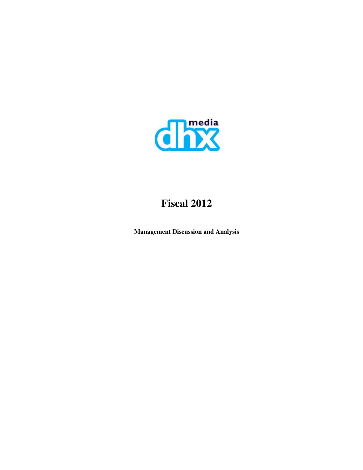

# **Fiscal 2012**

**Management Discussion and Analysis**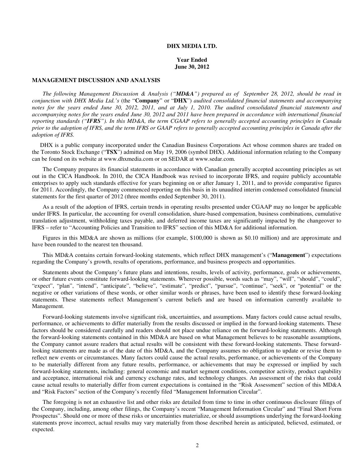#### **DHX MEDIA LTD.**

**Year Ended June 30, 2012** 

#### **MANAGEMENT DISCUSSION AND ANALYSIS**

*The following Management Discussion & Analysis ("MD&A") prepared as of September 28, 2012, should be read in conjunction with DHX Media Ltd.'s* (the "**Company**" or "**DHX**") *audited consolidated financial statements and accompanying notes for the years ended June 30, 2012, 2011, and at July 1, 2010. The audited consolidated financial statements and accompanying notes for the years ended June 30, 2012 and 2011 have been prepared in accordance with international financial reporting standards ("IFRS"). In this MD&A, the term CGAAP refers to generally accepted accounting principles in Canada prior to the adoption of IFRS, and the term IFRS or GAAP refers to generally accepted accounting principles in Canada after the adoption of IFRS.* 

DHX is a public company incorporated under the Canadian Business Corporations Act whose common shares are traded on the Toronto Stock Exchange ("**TSX**") admitted on May 19, 2006 (symbol DHX). Additional information relating to the Company can be found on its website at www.dhxmedia.com or on SEDAR at www.sedar.com.

The Company prepares its financial statements in accordance with Canadian generally accepted accounting principles as set out in the CICA Handbook. In 2010, the CICA Handbook was revised to incorporate IFRS, and require publicly accountable enterprises to apply such standards effective for years beginning on or after January 1, 2011, and to provide comparative figures for 2011. Accordingly, the Company commenced reporting on this basis in its unaudited interim condensed consolidated financial statements for the first quarter of 2012 (three months ended September 30, 2011).

As a result of the adoption of IFRS, certain trends in operating results presented under CGAAP may no longer be applicable under IFRS. In particular, the accounting for overall consolidation, share-based compensation, business combinations, cumulative translation adjustment, withholding taxes payable, and deferred income taxes are significantly impacted by the changeover to IFRS – refer to "Accounting Policies and Transition to IFRS" section of this MD&A for additional information.

Figures in this MD&A are shown as millions (for example, \$100,000 is shown as \$0.10 million) and are approximate and have been rounded to the nearest ten thousand.

This MD&A contains certain forward-looking statements, which reflect DHX management's ("**Management**") expectations regarding the Company's growth, results of operations, performance, and business prospects and opportunities.

Statements about the Company's future plans and intentions, results, levels of activity, performance, goals or achievements, or other future events constitute forward-looking statements. Wherever possible, words such as "may", "will", "should", "could", "expect", "plan", "intend", "anticipate", "believe", "estimate", "predict", "pursue", "continue", "seek", or "potential" or the negative or other variations of these words, or other similar words or phrases, have been used to identify these forward-looking statements. These statements reflect Management's current beliefs and are based on information currently available to Management.

Forward-looking statements involve significant risk, uncertainties, and assumptions. Many factors could cause actual results, performance, or achievements to differ materially from the results discussed or implied in the forward-looking statements. These factors should be considered carefully and readers should not place undue reliance on the forward-looking statements. Although the forward-looking statements contained in this MD&A are based on what Management believes to be reasonable assumptions, the Company cannot assure readers that actual results will be consistent with these forward-looking statements. These forwardlooking statements are made as of the date of this MD&A, and the Company assumes no obligation to update or revise them to reflect new events or circumstances. Many factors could cause the actual results, performance, or achievements of the Company to be materially different from any future results, performance, or achievements that may be expressed or implied by such forward-looking statements, including: general economic and market segment conditions, competitor activity, product capability and acceptance, international risk and currency exchange rates, and technology changes. An assessment of the risks that could cause actual results to materially differ from current expectations is contained in the "Risk Assessment" section of this MD&A and "Risk Factors" section of the Company's recently filed "Management Information Circular".

The foregoing is not an exhaustive list and other risks are detailed from time to time in other continuous disclosure filings of the Company, including, among other filings, the Company's recent "Management Information Circular" and "Final Short Form Prospectus". Should one or more of these risks or uncertainties materialize, or should assumptions underlying the forward-looking statements prove incorrect, actual results may vary materially from those described herein as anticipated, believed, estimated, or expected.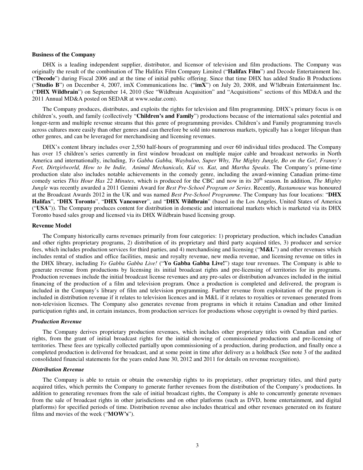#### **Business of the Company**

DHX is a leading independent supplier, distributor, and licensor of television and film productions. The Company was originally the result of the combination of The Halifax Film Company Limited ("**Halifax Film**") and Decode Entertainment Inc. ("**Decode**") during Fiscal 2006 and at the time of initial public offering. Since that time DHX has added Studio B Productions ("**Studio B**") on December 4, 2007, imX Communications Inc. ("**imX**") on July 20, 2008, and W!ldbrain Entertainment Inc. ("**DHX Wildbrain**") on September 14, 2010 (See "Wildbrain Acquisition" and "Acquisitions" sections of this MD&A and the 2011 Annual MD&A posted on SEDAR at www.sedar.com).

The Company produces, distributes, and exploits the rights for television and film programming. DHX's primary focus is on children's, youth, and family (collectively "**Children's and Family**") productions because of the international sales potential and longer-term and multiple revenue streams that this genre of programming provides. Children's and Family programming travels across cultures more easily than other genres and can therefore be sold into numerous markets, typically has a longer lifespan than other genres, and can be leveraged for merchandising and licensing revenues.

DHX's content library includes over 2,550 half-hours of programming and over 60 individual titles produced. The Company has over 15 children's series currently in first window broadcast on multiple major cable and broadcast networks in North America and internationally, including, *Yo Gabba Gabba, Waybuloo, Super Why, The Mighty Jungle, Bo on the Go!, Franny's Feet, Dirtgirlworld, How to be Indie, Animal Mechanicals, Kid vs. Kat,* and *Martha Speaks*. The Company's prime-time production slate also includes notable achievements in the comedy genre, including the award-winning Canadian prime-time comedy series *This Hour Has 22 Minutes*, which is produced for the CBC and now in its 20<sup>th</sup> season. In addition, *The Mighty Jungle* was recently awarded a 2011 Gemini Award for *Best Pre-School Program or Series*. Recently, *Rastamouse* was honoured at the Broadcast Awards 2012 in the UK and was named *Best Pre-School Programme*. The Company has four locations: "**DHX Halifax**", "**DHX Toronto**", "**DHX Vancouver**", and "**DHX Wildbrain**" (based in the Los Angeles, United States of America ("**USA**")). The Company produces content for distribution in domestic and international markets which is marketed via its DHX Toronto based sales group and licensed via its DHX Wildbrain based licensing group.

#### **Revenue Model**

The Company historically earns revenues primarily from four categories: 1) proprietary production, which includes Canadian and other rights proprietary programs, 2) distribution of its proprietary and third party acquired titles, 3) producer and service fees, which includes production services for third parties, and 4) merchandising and licensing ("**M&L**") and other revenues which includes rental of studios and office facilities, music and royalty revenue, new media revenue, and licensing revenue on titles in the DHX library, including *Yo Gabba Gabba Live!* ("**Yo Gabba Gabba Live!**") stage tour revenues. The Company is able to generate revenue from productions by licensing its initial broadcast rights and pre-licensing of territories for its programs. Production revenues include the initial broadcast license revenues and any pre-sales or distribution advances included in the initial financing of the production of a film and television program. Once a production is completed and delivered, the program is included in the Company's library of film and television programming. Further revenue from exploitation of the program is included in distribution revenue if it relates to television licences and in M&L if it relates to royalties or revenues generated from non-television licenses. The Company also generates revenue from programs in which it retains Canadian and other limited participation rights and, in certain instances, from production services for productions whose copyright is owned by third parties.

#### *Production Revenue*

The Company derives proprietary production revenues, which includes other proprietary titles with Canadian and other rights, from the grant of initial broadcast rights for the initial showing of commissioned productions and pre-licensing of territories. These fees are typically collected partially upon commissioning of a production, during production, and finally once a completed production is delivered for broadcast, and at some point in time after delivery as a holdback (See note 3 of the audited consolidated financial statements for the years ended June 30, 2012 and 2011 for details on revenue recognition).

#### *Distribution Revenue*

The Company is able to retain or obtain the ownership rights to its proprietary, other proprietary titles, and third party acquired titles, which permits the Company to generate further revenues from the distribution of the Company's productions. In addition to generating revenues from the sale of initial broadcast rights, the Company is able to concurrently generate revenues from the sale of broadcast rights in other jurisdictions and on other platforms (such as DVD, home entertainment, and digital platforms) for specified periods of time. Distribution revenue also includes theatrical and other revenues generated on its feature films and movies of the week ("**MOW's**").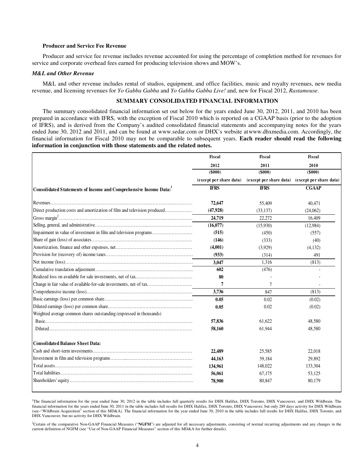# **Producer and Service Fee Revenue**

Producer and service fee revenue includes revenue accounted for using the percentage of completion method for revenues for service and corporate overhead fees earned for producing television shows and MOW's.

#### *M&L and Other Revenue*

M&L and other revenue includes rental of studios, equipment, and office facilities, music and royalty revenues, new media revenue, and licensing revenues for *Yo Gabba Gabba* and *Yo Gabba Gabba Live!* and, new for Fiscal 2012, *Rastamouse*.

# **SUMMARY CONSOLIDATED FINANCIAL INFORMATION**

The summary consolidated financial information set out below for the years ended June 30, 2012, 2011, and 2010 has been prepared in accordance with IFRS, with the exception of Fiscal 2010 which is reported on a CGAAP basis (prior to the adoption of IFRS), and is derived from the Company's audited consolidated financial statements and accompanying notes for the years ended June 30, 2012 and 2011, and can be found at www.sedar.com or DHX's website atwww.dhxmedia.com. Accordingly, the financial information for Fiscal 2010 may not be comparable to subsequent years. **Each reader should read the following information in conjunction with those statements and the related notes.** 

|                                                                          | Fiscal                  | Fiscal         | Fiscal                                          |
|--------------------------------------------------------------------------|-------------------------|----------------|-------------------------------------------------|
|                                                                          | 2012                    | 2011           | 2010                                            |
|                                                                          | ( \$000)                | ( \$000)       | $($ \$000 $)$                                   |
|                                                                          | (except per share data) |                | (except per share data) (except per share data) |
| Consolidated Statements of Income and Comprehensive Income Data:         | <b>IFRS</b>             | <b>IFRS</b>    | <b>CGAAP</b>                                    |
|                                                                          | 72,647                  | 55,409         | 40.471                                          |
| Direct production costs and amortization of film and television produced | (47,928)                | (33, 137)      | (24,062)                                        |
|                                                                          | 24,719                  | 22,272         | 16,409                                          |
|                                                                          | (16,077)                | (15,930)       | (12,984)                                        |
| Impairment in value of investment in film and television programs        | (515)                   | (450)          | (557)                                           |
|                                                                          | (146)                   | (333)          | (40)                                            |
|                                                                          | (4,001)                 | (3,929)        | (4,132)                                         |
|                                                                          | (933)                   | (314)          | 491                                             |
|                                                                          | 3,047                   | 1.316          | (813)                                           |
|                                                                          | 602                     | (476)          |                                                 |
|                                                                          | 80                      |                |                                                 |
| Change in fair value of available-for-sale investments, net of tax       | 7                       | $\overline{7}$ |                                                 |
|                                                                          | 3,736                   | 847            | (813)                                           |
|                                                                          | 0.05                    | 0.02           | (0.02)                                          |
|                                                                          | 0.05                    | 0.02           | (0.02)                                          |
| Weighted average common shares outstanding (expressed in thousands)      |                         |                |                                                 |
|                                                                          | 57,836                  | 61.622         | 48,580                                          |
|                                                                          | 58,160                  | 61,944         | 48,580                                          |
| <b>Consolidated Balance Sheet Data:</b>                                  |                         |                |                                                 |
|                                                                          | 22.489                  | 25.585         | 22.018                                          |
|                                                                          | 44,163                  | 39,184         | 29,892                                          |
|                                                                          | 134,961                 | 148,022        | 133,304                                         |
|                                                                          | 56,061                  | 67,175         | 53,125                                          |
|                                                                          | 78,900                  | 80.847         | 80.179                                          |

<sup>1</sup>The financial information for the year ended June 30, 2012 in the table includes full quarterly results for DHX Halifax, DHX Toronto, DHX Vancouver, and DHX Wildbrain. The financial information for the years ended June 30, 2011 in the table includes full results for DHX Halifax, DHX Toronto, DHX Vancouver, but only 289 days activity for DHX Wildbrain (see–"Wildbrain Acquisition" section of this MD&A). The financial information for the year ended June 30, 2010 in the table includes full results for DHX Halifax, DHX Toronto, and DHX Vancouver, but no activity for DHX Wildbrain.

<sup>2</sup>Certain of the comparative Non-GAAP Financial Measures ("NGFM") are adjusted for all necessary adjustments, consisting of normal recurring adjustments and any changes in the current definition of NGFM (see "Use of Non-GAAP Financial Measures" section of this MD&A for further details).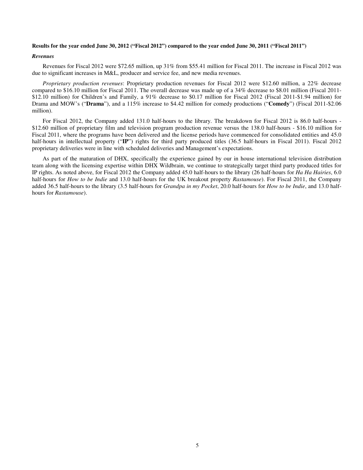#### **Results for the year ended June 30, 2012 ("Fiscal 2012") compared to the year ended June 30, 2011 ("Fiscal 2011")**

#### *Revenues*

Revenues for Fiscal 2012 were \$72.65 million, up 31% from \$55.41 million for Fiscal 2011. The increase in Fiscal 2012 was due to significant increases in M&L, producer and service fee, and new media revenues.

*Proprietary production revenues*: Proprietary production revenues for Fiscal 2012 were \$12.60 million, a 22% decrease compared to \$16.10 million for Fiscal 2011. The overall decrease was made up of a 34% decrease to \$8.01 million (Fiscal 2011- \$12.10 million) for Children's and Family, a 91% decrease to \$0.17 million for Fiscal 2012 (Fiscal 2011-\$1.94 million) for Drama and MOW's ("**Drama**"), and a 115% increase to \$4.42 million for comedy productions ("**Comedy**") (Fiscal 2011-\$2.06 million).

For Fiscal 2012, the Company added 131.0 half-hours to the library. The breakdown for Fiscal 2012 is 86.0 half-hours -\$12.60 million of proprietary film and television program production revenue versus the 138.0 half-hours - \$16.10 million for Fiscal 2011, where the programs have been delivered and the license periods have commenced for consolidated entities and 45.0 half-hours in intellectual property ("IP") rights for third party produced titles (36.5 half-hours in Fiscal 2011). Fiscal 2012 proprietary deliveries were in line with scheduled deliveries and Management's expectations.

As part of the maturation of DHX, specifically the experience gained by our in house international television distribution team along with the licensing expertise within DHX Wildbrain, we continue to strategically target third party produced titles for IP rights. As noted above, for Fiscal 2012 the Company added 45.0 half-hours to the library (26 half-hours for *Ha Ha Hairies*, 6.0 half-hours for *How to be Indie* and 13.0 half-hours for the UK breakout property *Rastamouse*). For Fiscal 2011, the Company added 36.5 half-hours to the library (3.5 half-hours for *Grandpa in my Pocket*, 20.0 half-hours for *How to be Indie*, and 13.0 halfhours for *Rastamouse*).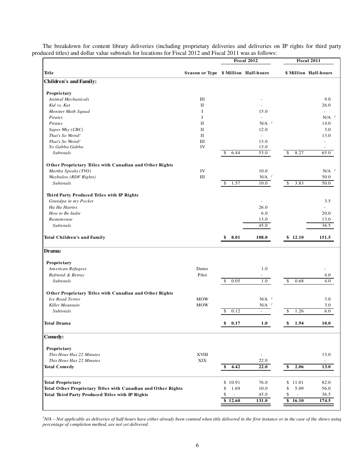|                                                               |                                      |                                | <b>Fiscal 2012</b>              | Fiscal 2011                    |                                 |
|---------------------------------------------------------------|--------------------------------------|--------------------------------|---------------------------------|--------------------------------|---------------------------------|
| Title                                                         | Season or Type \$ Million Half-hours |                                |                                 |                                | \$ Million Half-hours           |
| <b>Children's and Family:</b>                                 |                                      |                                |                                 |                                |                                 |
| Proprietary                                                   |                                      |                                |                                 |                                |                                 |
| Animal Mechanicals                                            | Ш                                    |                                |                                 |                                | 9.0                             |
| Kid vs. Kat                                                   | П                                    |                                |                                 |                                | 26.0                            |
| Monster Math Squad                                            | I                                    |                                | 15.0                            |                                | $\overline{\phantom{a}}$        |
| Pirates                                                       | $\bf{I}$                             |                                |                                 |                                | $N/A$ <sup><math>1</math></sup> |
| Pirates                                                       | П                                    |                                | $N/A$ <sup><math>1</math></sup> |                                | 14.0                            |
| Super Why (CBC)                                               | $_{\rm II}$                          |                                | 12.0                            |                                | 3.0                             |
| That's So Weird!                                              | $_{\rm II}$                          |                                | $\blacksquare$                  |                                | 13.0                            |
| That's So Weird!                                              | Ш                                    |                                | 13.0                            |                                |                                 |
| Yo Gabba Gabba                                                | IV                                   |                                | 13.0                            |                                |                                 |
| Subtotals                                                     |                                      | \$<br>6.44                     | 53.0                            | 8.27<br>\$                     | 65.0                            |
| Other Proprietary Titles with Canadian and Other Rights       |                                      |                                |                                 |                                |                                 |
| Martha Speaks (TVO)                                           | IV                                   |                                | 10.0                            |                                | $N/A$ <sup><math>1</math></sup> |
| Waybuloo (RDF Rights)                                         | Ш                                    |                                | $N/A$ <sup><math>1</math></sup> |                                | 50.0                            |
| Subtotals                                                     |                                      | 1.57<br>\$                     | 10.0                            | 3.83<br>\$                     | 50.0                            |
| Third Party Produced Titles with IP Rights                    |                                      |                                |                                 |                                |                                 |
| Grandpa in my Pocket                                          |                                      |                                |                                 |                                | 3.5                             |
| Ha Ha Hairies                                                 |                                      |                                | 26.0                            |                                |                                 |
| How to Be Indie                                               |                                      |                                | 6.0                             |                                | 20.0                            |
| Rastamouse                                                    |                                      |                                | 13.0                            |                                | 13.0                            |
| Subtotals                                                     |                                      |                                | 45.0                            |                                | 36.5                            |
| Total Children's and Family                                   |                                      | \$8.01                         | 108.0                           | \$12.10                        | 151.5                           |
| Drama:                                                        |                                      |                                |                                 |                                |                                 |
| Proprietary                                                   |                                      |                                |                                 |                                |                                 |
| American Refugees                                             | Demo                                 |                                | 1.0                             |                                |                                 |
| Befriend & Betray                                             | Pilot                                |                                |                                 |                                | 4.0                             |
| Subtotals                                                     |                                      | 0.05<br>\$                     | 1.0                             | \$<br>0.68                     | 4.0                             |
| Other Proprietary Titles with Canadian and Other Rights       |                                      |                                |                                 |                                |                                 |
| Ice Road Terror                                               | <b>MOW</b>                           |                                | $N/A$ <sup><math>1</math></sup> |                                | 3.0                             |
| Killer Mountain                                               | <b>MOW</b>                           |                                | $N/A$ <sup><math>1</math></sup> |                                | 3.0                             |
| <b>Subtotals</b>                                              |                                      | 0.12<br>\$                     | $\sim$                          | 1.26<br>\$                     | 6.0                             |
| <b>Total Drama</b>                                            |                                      | 0.17<br>\$                     | 1.0                             | 1.94<br>\$                     | 10.0                            |
| Comedy:                                                       |                                      |                                |                                 |                                |                                 |
| Proprietary                                                   |                                      |                                |                                 |                                |                                 |
| This Hour Has 22 Minutes                                      | <b>XVIII</b>                         |                                | $\overline{\phantom{a}}$        |                                | 13.0                            |
| This Hour Has 22 Minutes                                      | $\bold{XIX}$                         |                                | 22.0                            |                                | $\overline{\phantom{a}}$        |
| <b>Total Comedy</b>                                           |                                      | 4.42<br>\$                     | 22.0                            | \$<br>2.06                     | 13.0                            |
| <b>Total Proprietary</b>                                      |                                      | \$10.91                        | 76.0                            | 11.01<br>\$                    | 82.0                            |
| Total Other Proprietary Titles with Canadian and Other Rights |                                      | \$<br>1.69                     | 10.0                            | \$<br>5.09                     | 56.0                            |
| <b>Total Third Party Produced Titles with IP Rights</b>       |                                      | \$<br>$\overline{\phantom{a}}$ | 45.0                            | \$<br>$\overline{\phantom{a}}$ | 36.5                            |
|                                                               |                                      | \$12.60                        | 131.0                           | \$16.10                        | 174.5                           |
|                                                               |                                      |                                |                                 |                                |                                 |

The breakdown for content library deliveries (including proprietary deliveries and deliveries on IP rights for third party produced titles) and dollar value subtotals for locations for Fiscal 2012 and Fiscal 2011 was as follows:

*<sup>1</sup>N/A – Not applicable as deliveries of half-hours have either already been counted when title delivered in the first instance or in the case of the shows using percentage of completion method, are not yet delivered*.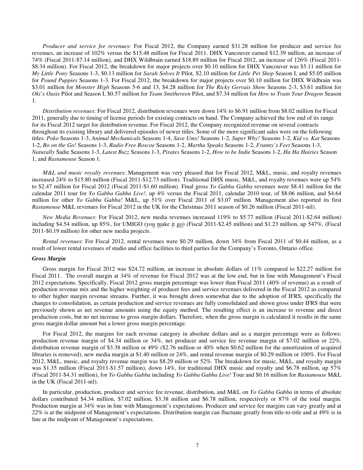*Producer and service fee revenues:* For Fiscal 2012, the Company earned \$31.28 million for producer and service fee revenues, an increase of 102% versus the \$15.48 million for Fiscal 2011. DHX Vancouver earned \$12.39 million, an increase of 74% (Fiscal 2011-\$7.14 million), and DHX Wildbrain earned \$18.89 million for Fiscal 2012, an increase of 126% (Fiscal 2011- \$8.34 million). For Fiscal 2012, the breakdown for major projects over \$0.10 million for DHX Vancouver was \$5.11 million for *My Little Pony* Seasons 1-3, \$0.13 million for *Sarah Solves It* Pilot, \$2.10 million for *Little Pet Shop* Season I, and \$5.05 million for *Pound Puppies* Seasons 1-3. For Fiscal 2012, the breakdown for major projects over \$0.10 million for DHX Wildbrain was \$3.01 million for *Monster High* Seasons 5-6 and 13, \$4.28 million for *The Ricky Gervais Show* Seasons 2-3, \$3.61 million for *Oki's Oasis* Pilot and Season I, \$0.57 million for *Team Smithereen* Pilot, and \$7.34 million for *How to Train Your Dragon* Season 1.

*Distribution revenues*: For Fiscal 2012, distribution revenues were down 14% to \$6.91 million from \$8.02 million for Fiscal 2011, generally due to timing of license periods for existing contracts on hand. The Company achieved the low end of its range for its Fiscal 2012 target for distribution revenue. For Fiscal 2012, the Company recognized revenue on several contracts throughout its existing library and delivered episodes of newer titles. Some of the more significant sales were on the following titles: *Poko* Seasons 1-3, *Animal Mechanicals* Seasons 1-4, *Save Ums!* Seasons 1-2, *Super Why!* Seasons 1-2, *Kid vs. Kat* Seasons 1-2, *Bo on the Go!* Seasons 1-3, *Radio Free Roscoe* Seasons 1-2, *Martha Speaks* Seasons 1-2, *Franny's Feet* Seasons 1-3, *Naturally* Sadie Seasons 1-3, *Latest Buzz* Seasons 1-3, *Pirates* Seasons 1-2, *How to be Indie* Seasons 1-2, *Ha Ha Hairies* Season 1, and *Rastamouse* Season 1.

*M&L and music royalty revenues*: Management was very pleased that for Fiscal 2012, M&L, music, and royalty revenues increased 24% to \$15.80 million (Fiscal 2011-\$12.73 million). Traditional DHX music, M&L, and royalty revenues were up 54% to \$2.47 million for Fiscal 2012 (Fiscal 2011-\$1.60 million). Final gross *Yo Gabba Gabba* revenues were \$8.41 million for the calendar 2011 tour for *Yo Gabba Gabba Live!,* up 4% versus the Fiscal 2011, calendar 2010 tour, of \$8.06 million, and \$4.64 million for other *Yo Gabba Gabba!* M&L, up 51% over Fiscal 2011 of \$3.07 million. Management also reported its first *Rastamouse* M&L revenues for Fiscal 2012 in the UK for the Christmas 2011 season of \$0.26 million (Fiscal 2011-nil).

*New Media Revenues*: For Fiscal 2012, new media revenues increased 119% to \$5.77 million (Fiscal 2011-\$2.64 million) including \$4.54 million, up 85%, for UMIGO (you make it go) (Fiscal 2011-\$2.45 million) and \$1.23 million, up 547%, (Fiscal 2011-\$0.19 million) for other new media projects.

*Rental revenues*: For Fiscal 2012, rental revenues were \$0.29 million, down 34% from Fiscal 2011 of \$0.44 million, as a result of lower rental revenues of studio and office facilities to third parties for the Company's Toronto, Ontario office.

#### *Gross Margin*

Gross margin for Fiscal 2012 was \$24.72 million, an increase in absolute dollars of 11% compared to \$22.27 million for Fiscal 2011. The overall margin at 34% of revenue for Fiscal 2012 was at the low end, but in line with Management's Fiscal 2012 expectations. Specifically, Fiscal 2012 gross margin percentage was lower than Fiscal 2011 (40% of revenue) as a result of production revenue mix and the higher weighting of producer fees and service revenues delivered in the Fiscal 2012 as compared to other higher margin revenue streams. Further, it was brought down somewhat due to the adoption of IFRS, specifically the changes to consolidation, as certain production and service revenues are fully consolidated and shown gross under IFRS that were previously shown as net revenue amounts using the equity method. The resulting effect is an increase to revenue and direct production costs, but no net increase to gross margin dollars. Therefore, when the gross margin is calculated it results in the same gross margin dollar amount but a lower gross margin percentage.

For Fiscal 2012, the margins for each revenue category in absolute dollars and as a margin percentage were as follows: production revenue margin of \$4.34 million or 34%, net producer and service fee revenue margin of \$7.02 million or 22%, distribution revenue margin of \$3.38 million or 49% (\$2.76 million or 40% when \$0.62 million for the amortization of acquired libraries is removed), new media margin at \$1.40 million or 24%, and rental revenue margin of \$0.29 million or 100%. For Fiscal 2012, M&L, music, and royalty revenue margin was \$8.29 million or 52%. The breakdown for music, M&L, and royalty margin was \$1.35 million (Fiscal 2011-\$1.57 million), down 14%, for traditional DHX music and royalty and \$6.78 million, up 57% (Fiscal 2011-\$4.31 million), for *Yo Gabba Gabba* including *Yo Gabba Gabba Live!* Tour and \$0.16 million for *Rastamouse* M&L in the UK (Fiscal 2011-nil).

In particular, production, producer and service fee revenue, distribution, and M&L on *Yo Gabba Gabba* in terms of absolute dollars contributed \$4.34 million, \$7.02 million, \$3.38 million and \$6.78 million, respectively or 87% of the total margin. Production margin at 34% was in line with Management's expectations. Producer and service fee margins can vary greatly and at 22% is at the midpoint of Management's expectations. Distribution margin can fluctuate greatly from title-to-title and at 49% is in line at the midpoint of Management's expectations.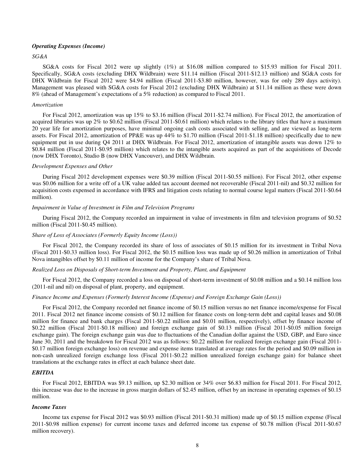## *Operating Expenses (Income)*

# *SG&A*

SG&A costs for Fiscal 2012 were up slightly (1%) at \$16.08 million compared to \$15.93 million for Fiscal 2011. Specifically, SG&A costs (excluding DHX Wildbrain) were \$11.14 million (Fiscal 2011-\$12.13 million) and SG&A costs for DHX Wildbrain for Fiscal 2012 were \$4.94 million (Fiscal 2011-\$3.80 million, however, was for only 289 days activity). Management was pleased with SG&A costs for Fiscal 2012 (excluding DHX Wildbrain) at \$11.14 million as these were down 8% (ahead of Management's expectations of a 5% reduction) as compared to Fiscal 2011.

#### *Amortization*

For Fiscal 2012, amortization was up 15% to \$3.16 million (Fiscal 2011-\$2.74 million). For Fiscal 2012, the amortization of acquired libraries was up  $2\%$  to \$0.62 million (Fiscal 2011-\$0.61 million) which relates to the library titles that have a maximum 20 year life for amortization purposes, have minimal ongoing cash costs associated with selling, and are viewed as long-term assets. For Fiscal 2012, amortization of PP&E was up 44% to \$1.70 million (Fiscal 2011-\$1.18 million) specifically due to new equipment put in use during Q4 2011 at DHX Wildbrain. For Fiscal 2012, amortization of intangible assets was down 12% to \$0.84 million (Fiscal 2011-\$0.95 million) which relates to the intangible assets acquired as part of the acquisitions of Decode (now DHX Toronto), Studio B (now DHX Vancouver), and DHX Wildbrain.

# *Development Expenses and Other*

During Fiscal 2012 development expenses were \$0.39 million (Fiscal 2011-\$0.55 million). For Fiscal 2012, other expense was \$0.06 million for a write off of a UK value added tax account deemed not recoverable (Fiscal 2011-nil) and \$0.32 million for acquisition costs expensed in accordance with IFRS and litigation costs relating to normal course legal matters (Fiscal 2011-\$0.64 million).

#### *Impairment in Value of Investment in Film and Television Programs*

During Fiscal 2012, the Company recorded an impairment in value of investments in film and television programs of \$0.52 million (Fiscal 2011-\$0.45 million).

# *Share of Loss of Associates (Formerly Equity Income (Loss))*

For Fiscal 2012, the Company recorded its share of loss of associates of \$0.15 million for its investment in Tribal Nova (Fiscal 2011-\$0.33 million loss). For Fiscal 2012, the \$0.15 million loss was made up of \$0.26 million in amortization of Tribal Nova intangibles offset by \$0.11 million of income for the Company's share of Tribal Nova.

#### *Realized Loss on Disposals of Short-term Investment and Property, Plant, and Equipment*

For Fiscal 2012, the Company recorded a loss on disposal of short-term investment of \$0.08 million and a \$0.14 million loss (2011-nil and nil) on disposal of plant, property, and equipment.

#### *Finance Income and Expenses (Formerly Interest Income (Expense) and Foreign Exchange Gain (Loss))*

For Fiscal 2012, the Company recorded net finance income of \$0.15 million versus no net finance income/expense for Fiscal 2011. Fiscal 2012 net finance income consists of \$0.12 million for finance costs on long-term debt and capital leases and \$0.08 million for finance and bank charges (Fiscal 2011-\$0.22 million and \$0.01 million, respectively), offset by finance income of \$0.22 million (Fiscal 2011-\$0.18 million) and foreign exchange gain of \$0.13 million (Fiscal 2011-\$0.05 million foreign exchange gain). The foreign exchange gain was due to fluctuations of the Canadian dollar against the USD, GBP, and Euro since June 30, 2011 and the breakdown for Fiscal 2012 was as follows: \$0.22 million for realized foreign exchange gain (Fiscal 2011- \$0.17 million foreign exchange loss) on revenue and expense items translated at average rates for the period and \$0.09 million in non-cash unrealized foreign exchange loss (Fiscal 2011-\$0.22 million unrealized foreign exchange gain) for balance sheet translations at the exchange rates in effect at each balance sheet date.

#### *EBITDA*

For Fiscal 2012, EBITDA was \$9.13 million, up \$2.30 million or 34% over \$6.83 million for Fiscal 2011. For Fiscal 2012, this increase was due to the increase in gross margin dollars of \$2.45 million, offset by an increase in operating expenses of \$0.15 million.

#### *Income Taxes*

Income tax expense for Fiscal 2012 was \$0.93 million (Fiscal 2011-\$0.31 million) made up of \$0.15 million expense (Fiscal 2011-\$0.98 million expense) for current income taxes and deferred income tax expense of \$0.78 million (Fiscal 2011-\$0.67 million recovery).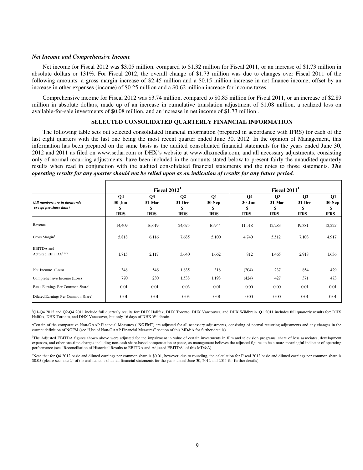#### *Net Income and Comprehensive Income*

Net income for Fiscal 2012 was \$3.05 million, compared to \$1.32 million for Fiscal 2011, or an increase of \$1.73 million in absolute dollars or 131%. For Fiscal 2012, the overall change of \$1.73 million was due to changes over Fiscal 2011 of the following amounts: a gross margin increase of \$2.45 million and a \$0.15 million increase in net finance income, offset by an increase in other expenses (income) of \$0.25 million and a \$0.62 million increase for income taxes.

Comprehensive income for Fiscal 2012 was \$3.74 million, compared to \$0.85 million for Fiscal 2011, or an increase of \$2.89 million in absolute dollars, made up of an increase in cumulative translation adjustment of \$1.08 million, a realized loss on available-for-sale investments of \$0.08 million, and an increase in net income of \$1.73 million .

#### **SELECTED CONSOLIDATED QUARTERLY FINANCIAL INFORMATION**

The following table sets out selected consolidated financial information (prepared in accordance with IFRS) for each of the last eight quarters with the last one being the most recent quarter ended June 30, 2012. In the opinion of Management, this information has been prepared on the same basis as the audited consolidated financial statements for the years ended June 30, 2012 and 2011 as filed on www.sedar.com or DHX's website at www.dhxmedia.com, and all necessary adjustments, consisting only of normal recurring adjustments, have been included in the amounts stated below to present fairly the unaudited quarterly results when read in conjunction with the audited consolidated financial statements and the notes to those statements. *The operating results for any quarter should not be relied upon as an indication of results for any future period.*

|                                                          |                                      | Fiscal $2012^1$                     |                                             |                                     |                                       | Fiscal $20111$                                   |                                                   |                                    |
|----------------------------------------------------------|--------------------------------------|-------------------------------------|---------------------------------------------|-------------------------------------|---------------------------------------|--------------------------------------------------|---------------------------------------------------|------------------------------------|
| (All numbers are in thousands)<br>except per share data) | Q4<br>$30 - Jun$<br>ж<br><b>IFRS</b> | Q3<br>$31-Mar$<br>\$<br><b>IFRS</b> | $\bf Q2$<br>$31 - Dec$<br>\$<br><b>IFRS</b> | Q1<br>$30-Sep$<br>\$<br><b>IFRS</b> | Q4<br>$30 - Jun$<br>\$<br><b>IFRS</b> | Q <sub>3</sub><br>$31$ -Mar<br>\$<br><b>IFRS</b> | Q <sub>2</sub><br>$31 - Dec$<br>\$<br><b>IFRS</b> | Q1<br>$30-Sep$<br>S<br><b>IFRS</b> |
| Revenue                                                  | 14,409                               | 16,619                              | 24,675                                      | 16,944                              | 11,518                                | 12,283                                           | 19,381                                            | 12,227                             |
| Gross Margin <sup>2</sup>                                | 5,818                                | 6,116                               | 7,685                                       | 5,100                               | 4,740                                 | 5,512                                            | 7,103                                             | 4,917                              |
| EBITDA and<br>Adjusted EBITDA <sup>2 &amp; 3</sup>       | 1,715                                | 2,117                               | 3,640                                       | 1,662                               | 812                                   | 1,465                                            | 2,918                                             | 1,636                              |
| Net Income (Loss)                                        | 348                                  | 546                                 | 1,835                                       | 318                                 | (204)                                 | 237                                              | 854                                               | 429                                |
| Comprehensive Income (Loss)                              | 770                                  | 230                                 | 1,538                                       | 1,198                               | (424)                                 | 427                                              | 371                                               | 473                                |
| Basic Earnings Per Common Share <sup>4</sup>             | 0.01                                 | 0.01                                | 0.03                                        | 0.01                                | 0.00                                  | 0.00                                             | 0.01                                              | 0.01                               |
| Diluted Earnings Per Common Share <sup>4</sup>           | 0.01                                 | 0.01                                | 0.03                                        | 0.01                                | 0.00                                  | 0.00                                             | 0.01                                              | 0.01                               |

<sup>1</sup>Q1-Q4 2012 and Q2-Q4 2011 include full quarterly results for: DHX Halifax, DHX Toronto, DHX Vancouver, and DHX Wildbrain. Q1 2011 includes full quarterly results for: DHX Halifax, DHX Toronto, and DHX Vancouver, but only 16 days of DHX Wildbrain.

<sup>2</sup>Certain of the comparative Non-GAAP Financial Measures ("NGFM") are adjusted for all necessary adjustments, consisting of normal recurring adjustments and any changes in the current definition of NGFM (see "Use of Non-GAAP Financial Measures" section of this MD&A for further details).

<sup>3</sup>The Adjusted EBITDA figures shown above were adjusted for the impairment in value of certain investments in film and television programs, share of loss associates, development expenses, and other one-time charges including non-cash share-based compensation expense, as management believes the adjusted figures to be a more meaningful indicator of operating performance (see "Reconciliation of Historical Results to EBITDA and Adjusted EBITDA" of this MD&A).

<sup>4</sup>Note that for Q4 2012 basic and diluted earnings per common share is \$0.01, however, due to rounding, the calculation for Fiscal 2012 basic and diluted earnings per common share is \$0.05 (please see note 24 of the audited consolidated financial statements for the years ended June 30, 2012 and 2011 for further details).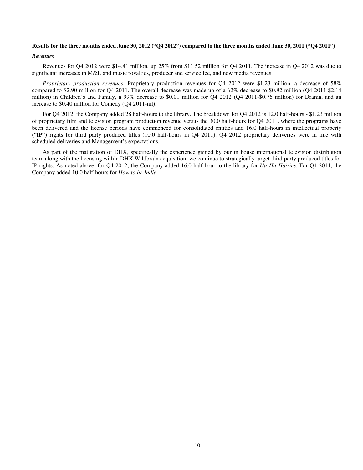# **Results for the three months ended June 30, 2012 ("Q4 2012") compared to the three months ended June 30, 2011 ("Q4 2011")**

#### *Revenues*

Revenues for Q4 2012 were \$14.41 million, up 25% from \$11.52 million for Q4 2011. The increase in Q4 2012 was due to significant increases in M&L and music royalties, producer and service fee, and new media revenues.

*Proprietary production revenues*: Proprietary production revenues for Q4 2012 were \$1.23 million, a decrease of 58% compared to \$2.90 million for Q4 2011. The overall decrease was made up of a 62% decrease to \$0.82 million (Q4 2011-\$2.14 million) in Children's and Family, a 99% decrease to \$0.01 million for Q4 2012 (Q4 2011-\$0.76 million) for Drama, and an increase to \$0.40 million for Comedy (Q4 2011-nil).

For Q4 2012, the Company added 28 half-hours to the library. The breakdown for Q4 2012 is 12.0 half-hours - \$1.23 million of proprietary film and television program production revenue versus the 30.0 half-hours for Q4 2011, where the programs have been delivered and the license periods have commenced for consolidated entities and 16.0 half-hours in intellectual property ("**IP**") rights for third party produced titles (10.0 half-hours in Q4 2011). Q4 2012 proprietary deliveries were in line with scheduled deliveries and Management's expectations.

As part of the maturation of DHX, specifically the experience gained by our in house international television distribution team along with the licensing within DHX Wildbrain acquisition, we continue to strategically target third party produced titles for IP rights. As noted above, for Q4 2012, the Company added 16.0 half-hour to the library for *Ha Ha Hairies*. For Q4 2011, the Company added 10.0 half-hours for *How to be Indie*.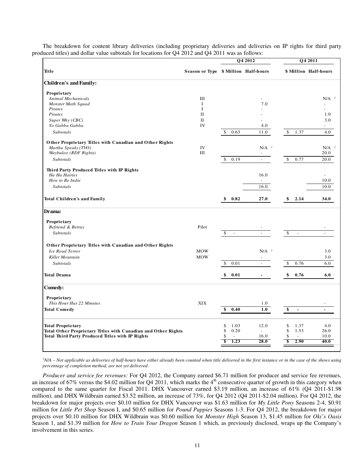|                                                               |                                      |              | Q4 2012                         | Q4 2011              |                                 |  |
|---------------------------------------------------------------|--------------------------------------|--------------|---------------------------------|----------------------|---------------------------------|--|
| Title                                                         | Season or Type \$ Million Half-hours |              |                                 |                      | <b>\$ Million Half-hours</b>    |  |
| <b>Children's and Family:</b>                                 |                                      |              |                                 |                      |                                 |  |
| Proprietary                                                   |                                      |              |                                 |                      |                                 |  |
| Animal Mechanicals                                            | Ш                                    |              |                                 |                      | $N/A$ <sup><math>1</math></sup> |  |
| Monster Math Squad                                            | Ι.                                   |              | 7.0                             |                      |                                 |  |
| Pirates<br>Pirates                                            | $\bf{I}$<br>$_{\rm II}$              |              |                                 |                      | 1.0                             |  |
| Super Why (CBC)                                               | $\rm II$                             |              | ÷,                              |                      | 3.0                             |  |
| Yo Gabba Gabba                                                | IV                                   |              | 4.0                             |                      | $\overline{a}$                  |  |
| <b>Subtotals</b>                                              |                                      | \$<br>0.63   | 11.0                            | 1.37<br>\$           | 4.0                             |  |
| Other Proprietary Titles with Canadian and Other Rights       |                                      |              |                                 |                      |                                 |  |
| Martha Speaks (TVO)                                           | IV                                   |              | $N/A$ <sup><math>1</math></sup> |                      | $N/A$ <sup><math>1</math></sup> |  |
| Waybuloo (RDF Rights)                                         | Ш                                    |              | $\sim$                          |                      | 20.0                            |  |
| Subtotals                                                     |                                      | 0.19<br>\$   |                                 | 0.77<br>\$           | 20.0                            |  |
| Third Party Produced Titles with IP Rights                    |                                      |              |                                 |                      |                                 |  |
| Ha Ha Hairies                                                 |                                      |              | 16.0                            |                      |                                 |  |
| How to Be Indie                                               |                                      |              | $\overline{\phantom{a}}$        |                      | 10.0                            |  |
| Subtotals                                                     |                                      |              | 16.0                            |                      | 10.0                            |  |
| <b>Total Children's and Family</b>                            |                                      | \$<br>0.82   | 27.0                            | \$<br>2.14           | 34.0                            |  |
| Drama:                                                        |                                      |              |                                 |                      |                                 |  |
| Proprietary                                                   |                                      |              |                                 |                      |                                 |  |
| Befriend & Betray                                             | Pilot                                |              |                                 |                      |                                 |  |
| Subtotals                                                     |                                      | \$<br>$\sim$ |                                 | \$<br>$\overline{a}$ |                                 |  |
| Other Proprietary Titles with Canadian and Other Rights       |                                      |              |                                 |                      |                                 |  |
| <b>Ice Road Terror</b>                                        | <b>MOW</b>                           |              | $N/A$ <sup><math>1</math></sup> |                      | 3.0                             |  |
| Killer Mountain                                               | <b>MOW</b>                           |              |                                 |                      | 3.0                             |  |
| Subtotals                                                     |                                      | \$<br>0.01   | $\overline{a}$                  | \$<br>0.76           | 6.0                             |  |
| <b>Total Drama</b>                                            |                                      | 0.01<br>\$   |                                 | \$<br>0.76           | 6.0                             |  |
| <b>Comedy:</b>                                                |                                      |              |                                 |                      |                                 |  |
| Proprietary                                                   |                                      |              |                                 |                      |                                 |  |
| This Hour Has 22 Minutes                                      | <b>XIX</b>                           |              | 1.0                             |                      |                                 |  |
| <b>Total Comedy</b>                                           |                                      | 0.40<br>\$   | 1.0                             | \$<br>$\overline{a}$ |                                 |  |
| <b>Total Proprietary</b>                                      |                                      | \$<br>1.03   | 12.0                            | \$<br>1.37           | 4.0                             |  |
| Total Other Proprietary Titles with Canadian and Other Rights |                                      | \$<br>0.20   | $\bar{\phantom{a}}$             | \$<br>1.53           | 26.0                            |  |
| <b>Total Third Party Produced Titles with IP Rights</b>       |                                      | \$           | 16.0                            | \$                   | 10.0                            |  |
|                                                               |                                      | 1.23<br>\$   | 28.0                            | 2.90<br>\$           | 40.0                            |  |

The breakdown for content library deliveries (including proprietary deliveries and deliveries on IP rights for third party produced titles) and dollar value subtotals for locations for  $\overrightarrow{OA}$  2012 and  $\overrightarrow{OA}$  2011 was as follows:

*<sup>1</sup>N/A – Not applicable as deliveries of half-hours have either already been counted when title delivered in the first instance or in the case of the shows using percentage of completion method, are not yet delivered*.

*Producer and service fee revenues:* For Q4 2012, the Company earned \$6.71 million for producer and service fee revenues, an increase of 67% versus the \$4.02 million for Q4 2011, which marks the  $4<sup>th</sup>$  consecutive quarter of growth in this category when compared to the same quarter for Fiscal 2011. DHX Vancouver earned \$3.19 million, an increase of 61% (Q4 2011-\$1.98 million), and DHX Wildbrain earned \$3.52 million, an increase of 73%, for Q4 2012 (Q4 2011-\$2.04 million). For Q4 2012, the breakdown for major projects over \$0.10 million for DHX Vancouver was \$1.63 million for *My Little Pony* Seasons 2-4, \$0.91 million for *Little Pet Shop* Season I, and \$0.65 million for *Pound Puppies* Seasons 1-3. For Q4 2012, the breakdown for major projects over \$0.10 million for DHX Wildbrain was \$0.60 million for *Monster High* Season 13, \$1.45 million for *Oki's Oasis* Season 1, and \$1.39 million for *How to Train Your Dragon* Season 1 which, as previously disclosed, wraps up the Company's involvement in this series.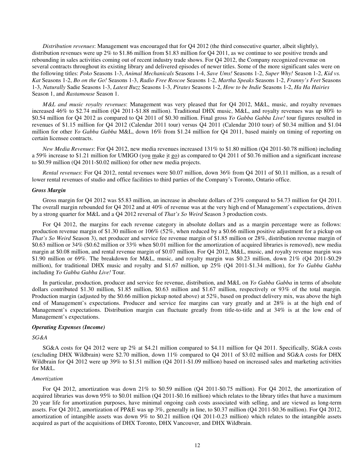*Distribution revenues*: Management was encouraged that for Q4 2012 (the third consecutive quarter, albeit slightly), distribution revenues were up 2% to \$1.86 million from \$1.83 million for Q4 2011, as we continue to see positive trends and rebounding in sales activities coming out of recent industry trade shows. For Q4 2012, the Company recognized revenue on several contracts throughout its existing library and delivered episodes of newer titles. Some of the more significant sales were on the following titles: *Poko* Seasons 1-3, *Animal Mechanicals* Seasons 1-4, *Save Ums!* Seasons 1-2, *Super Why!* Season 1-2, *Kid vs. Kat* Seasons 1-2, *Bo on the Go!* Seasons 1-3, *Radio Free Roscoe* Seasons 1-2, *Martha Speaks* Seasons 1-2, *Franny's Feet* Seasons 1-3, *Naturally* Sadie Seasons 1-3, *Latest Buzz* Seasons 1-3, *Pirates* Seasons 1-2, *How to be Indie* Seasons 1-2, *Ha Ha Hairies* Season 1, and *Rastamouse* Season 1.

*M&L and music royalty revenues*: Management was very pleased that for Q4 2012, M&L, music, and royalty revenues increased 46% to \$2.74 million (Q4 2011-\$1.88 million). Traditional DHX music, M&L, and royalty revenues was up 80% to \$0.54 million for Q4 2012 as compared to Q4 2011 of \$0.30 million. Final gross *Yo Gabba Gabba Live!* tour figures resulted in revenues of \$1.15 million for Q4 2012 (Calendar 2011 tour) versus Q4 2011 (Calendar 2010 tour) of \$0.34 million and \$1.04 million for other *Yo Gabba Gabba* M&L, down 16% from \$1.24 million for Q4 2011, based mainly on timing of reporting on certain licensee contracts.

*New Media Revenues*: For Q4 2012, new media revenues increased 131% to \$1.80 million (Q4 2011-\$0.78 million) including a 59% increase to \$1.21 million for UMIGO (you make it go) as compared to Q4 2011 of \$0.76 million and a significant increase to \$0.59 million (Q4 2011-\$0.02 million) for other new media projects.

*Rental revenues*: For Q4 2012, rental revenues were \$0.07 million, down 36% from Q4 2011 of \$0.11 million, as a result of lower rental revenues of studio and office facilities to third parties of the Company's Toronto, Ontario office.

#### *Gross Margin*

Gross margin for Q4 2012 was \$5.83 million, an increase in absolute dollars of 23% compared to \$4.73 million for Q4 2011. The overall margin rebounded for Q4 2012 and at 40% of revenue was at the very high end of Management's expectations, driven by a strong quarter for M&L and a Q4 2012 reversal of *That's So Weird* Season 3 production costs.

For Q4 2012, the margins for each revenue category in absolute dollars and as a margin percentage were as follows: production revenue margin of \$1.30 million or 106% (52%, when reduced by a \$0.66 million positive adjustment for a pickup on *That's So Weird* Season 3), net producer and service fee revenue margin of \$1.85 million or 28%, distribution revenue margin of \$0.63 million or 34% (\$0.62 million or 33% when \$0.01 million for the amortization of acquired libraries is removed), new media margin at \$0.08 million, and rental revenue margin of \$0.07 million. For Q4 2012, M&L, music, and royalty revenue margin was \$1.90 million or 69%. The breakdown for M&L, music, and royalty margin was \$0.23 million, down 21% (Q4 2011-\$0.29 million), for traditional DHX music and royalty and \$1.67 million, up 25% (Q4 2011-\$1.34 million), for *Yo Gabba Gabba*  including *Yo Gabba Gabba Live!* Tour.

In particular, production, producer and service fee revenue, distribution, and M&L on *Yo Gabba Gabba* in terms of absolute dollars contributed \$1.30 million, \$1.85 million, \$0.63 million and \$1.67 million, respectively or 93% of the total margin. Production margin (adjusted by the \$0.66 million pickup noted above) at 52%, based on product delivery mix, was above the high end of Management's expectations. Producer and service fee margins can vary greatly and at 28% is at the high end of Management's expectations. Distribution margin can fluctuate greatly from title-to-title and at 34% is at the low end of Management's expectations.

#### *Operating Expenses (Income)*

#### *SG&A*

SG&A costs for Q4 2012 were up 2% at \$4.21 million compared to \$4.11 million for Q4 2011. Specifically, SG&A costs (excluding DHX Wildbrain) were \$2.70 million, down 11% compared to Q4 2011 of \$3.02 million and SG&A costs for DHX Wildbrain for Q4 2012 were up 39% to \$1.51 million (Q4 2011-\$1.09 million) based on increased sales and marketing activities for M&L.

#### *Amortization*

For Q4 2012, amortization was down 21% to \$0.59 million (Q4 2011-\$0.75 million). For Q4 2012, the amortization of acquired libraries was down 95% to \$0.01 million (Q4 2011-\$0.16 million) which relates to the library titles that have a maximum 20 year life for amortization purposes, have minimal ongoing cash costs associated with selling, and are viewed as long-term assets. For Q4 2012, amortization of PP&E was up 3%, generally in line, to \$0.37 million (Q4 2011-\$0.36 million). For Q4 2012, amortization of intangible assets was down 9% to \$0.21 million (Q4 2011-0.23 million) which relates to the intangible assets acquired as part of the acquisitions of DHX Toronto, DHX Vancouver, and DHX Wildbrain.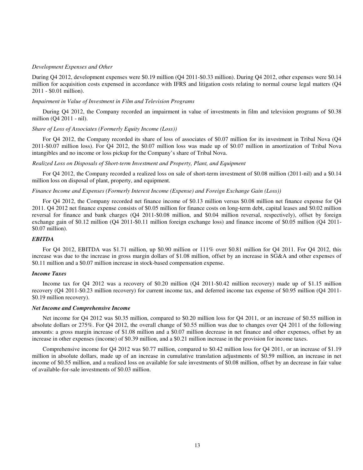#### *Development Expenses and Other*

During Q4 2012, development expenses were \$0.19 million (Q4 2011-\$0.33 million). During Q4 2012, other expenses were \$0.14 million for acquisition costs expensed in accordance with IFRS and litigation costs relating to normal course legal matters (Q4 2011 - \$0.01 million).

#### *Impairment in Value of Investment in Film and Television Programs*

During Q4 2012, the Company recorded an impairment in value of investments in film and television programs of \$0.38 million (Q4 2011 - nil).

#### *Share of Loss of Associates (Formerly Equity Income (Loss))*

For Q4 2012, the Company recorded its share of loss of associates of \$0.07 million for its investment in Tribal Nova (Q4 2011-\$0.07 million loss). For Q4 2012, the \$0.07 million loss was made up of \$0.07 million in amortization of Tribal Nova intangibles and no income or loss pickup for the Company's share of Tribal Nova.

# *Realized Loss on Disposals of Short-term Investment and Property, Plant, and Equipment*

For Q4 2012, the Company recorded a realized loss on sale of short-term investment of \$0.08 million (2011-nil) and a \$0.14 million loss on disposal of plant, property, and equipment.

#### *Finance Income and Expenses (Formerly Interest Income (Expense) and Foreign Exchange Gain (Loss))*

For Q4 2012, the Company recorded net finance income of \$0.13 million versus \$0.08 million net finance expense for Q4 2011. Q4 2012 net finance expense consists of \$0.05 million for finance costs on long-term debt, capital leases and \$0.02 million reversal for finance and bank charges (Q4 2011-\$0.08 million, and \$0.04 million reversal, respectively), offset by foreign exchange gain of \$0.12 million (Q4 2011-\$0.11 million foreign exchange loss) and finance income of \$0.05 million (Q4 2011- \$0.07 million).

#### *EBITDA*

For Q4 2012, EBITDA was \$1.71 million, up \$0.90 million or 111% over \$0.81 million for Q4 2011. For Q4 2012, this increase was due to the increase in gross margin dollars of \$1.08 million, offset by an increase in SG&A and other expenses of \$0.11 million and a \$0.07 million increase in stock-based compensation expense.

#### *Income Taxes*

Income tax for Q4 2012 was a recovery of \$0.20 million (Q4 2011-\$0.42 million recovery) made up of \$1.15 million recovery (Q4 2011-\$0.23 million recovery) for current income tax, and deferred income tax expense of \$0.95 million (Q4 2011- \$0.19 million recovery).

#### *Net Income and Comprehensive Income*

Net income for Q4 2012 was \$0.35 million, compared to \$0.20 million loss for Q4 2011, or an increase of \$0.55 million in absolute dollars or 275%. For Q4 2012, the overall change of \$0.55 million was due to changes over Q4 2011 of the following amounts: a gross margin increase of \$1.08 million and a \$0.07 million decrease in net finance and other expenses, offset by an increase in other expenses (income) of \$0.39 million, and a \$0.21 million increase in the provision for income taxes.

Comprehensive income for Q4 2012 was \$0.77 million, compared to \$0.42 million loss for Q4 2011, or an increase of \$1.19 million in absolute dollars, made up of an increase in cumulative translation adjustments of \$0.59 million, an increase in net income of \$0.55 million, and a realized loss on available for sale investments of \$0.08 million, offset by an decrease in fair value of available-for-sale investments of \$0.03 million.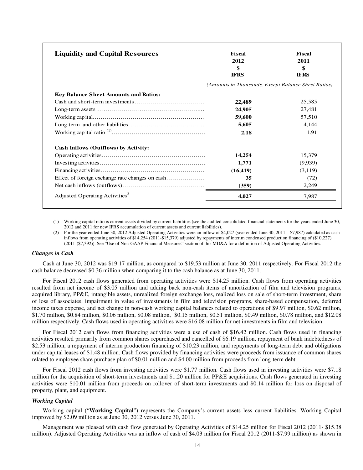| <b>Liquidity and Capital Resources</b>          | Fiscal<br>2012                                      | Fiscal<br>2011 |
|-------------------------------------------------|-----------------------------------------------------|----------------|
|                                                 | \$                                                  | \$             |
|                                                 | <b>IFRS</b>                                         | <b>IFRS</b>    |
|                                                 | (Amounts in Thousands, Except Balance Sheet Ratios) |                |
| <b>Key Balance Sheet Amounts and Ratios:</b>    |                                                     |                |
|                                                 | 22,489                                              | 25,585         |
|                                                 | 24,905                                              | 27,481         |
|                                                 | 59,600                                              | 57,510         |
|                                                 | 5,605                                               | 4,144          |
|                                                 | 2.18                                                | 1.91           |
| Cash Inflows (Outflows) by Activity:            |                                                     |                |
|                                                 | 14,254                                              | 15,379         |
|                                                 | 1,771                                               | (9,939)        |
|                                                 | (16, 419)                                           | (3,119)        |
| Effect of foreign exchange rate changes on cash | 35                                                  | (72)           |
|                                                 | (359)                                               | 2,249          |
| Adjusted Operating Activities <sup>2</sup>      | 4,027                                               | 7.987          |

(1) Working capital ratio is current assets divided by current liabilities (see the audited consolidated financial statements for the years ended June 30, 2012 and 2011 for new IFRS accumulation of current assets and current liabilities).

(2) For the year ended June 30, 2012 Adjusted Operating Activities were an inflow of \$4,027 (year ended June 30, 2011 – \$7,987) calculated as cash inflows from operating activities of \$14,254 (2011-\$15,379) adjusted by repayments of interim condensed production financing of (\$10,227) (2011-(\$7,392)). See "Use of Non-GAAP Financial Measures" section of this MD&A for a definition of Adjusted Operating Activities.

#### *Changes in Cash*

Cash at June 30, 2012 was \$19.17 million, as compared to \$19.53 million at June 30, 2011 respectively. For Fiscal 2012 the cash balance decreased \$0.36 million when comparing it to the cash balance as at June 30, 2011.

For Fiscal 2012 cash flows generated from operating activities were \$14.25 million. Cash flows from operating activities resulted from net income of \$3.05 million and adding back non-cash items of amortization of film and television programs, acquired library, PP&E, intangible assets, unrealized foreign exchange loss, realized loss on sale of short-term investment, share of loss of associates, impairment in value of investments in film and television programs, share-based compensation, deferred income taxes expense, and net change in non-cash working capital balances related to operations of \$9.97 million, \$0.62 million, \$1.70 million, \$0.84 million, \$0.06 million, \$0.08 million, \$0.15 million, \$0.51 million, \$0.49 million, \$0.78 million, and \$12.08 million respectively. Cash flows used in operating activities were \$16.08 million for net investments in film and television.

For Fiscal 2012 cash flows from financing activities were a use of cash of \$16.42 million. Cash flows used in financing activities resulted primarily from common shares repurchased and cancelled of \$6.19 million, repayment of bank indebtedness of \$2.53 million, a repayment of interim production financing of \$10.23 million, and repayments of long-term debt and obligations under capital leases of \$1.48 million. Cash flows provided by financing activities were proceeds from issuance of common shares related to employee share purchase plan of \$0.01 million and \$4.00 million from proceeds from long-term debt.

For Fiscal 2012 cash flows from investing activities were \$1.77 million. Cash flows used in investing activities were \$7.18 million for the acquisition of short-term investments and \$1.20 million for PP&E acquisitions. Cash flows generated in investing activities were \$10.01 million from proceeds on rollover of short-term investments and \$0.14 million for loss on disposal of property, plant, and equipment.

#### *Working Capital*

Working capital ("**Working Capital**") represents the Company's current assets less current liabilities. Working Capital improved by \$2.09 million as at June 30, 2012 versus June 30, 2011.

Management was pleased with cash flow generated by Operating Activities of \$14.25 million for Fiscal 2012 (2011- \$15.38 million). Adjusted Operating Activities was an inflow of cash of \$4.03 million for Fiscal 2012 (2011-\$7.99 million) as shown in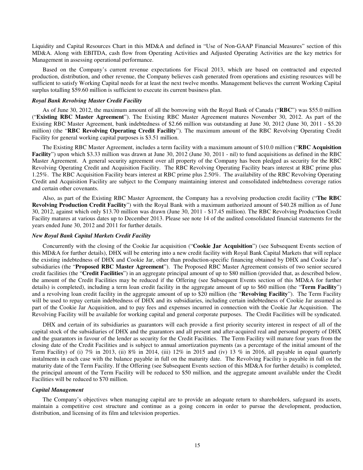Liquidity and Capital Resources Chart in this MD&A and defined in "Use of Non-GAAP Financial Measures" section of this MD&A. Along with EBITDA, cash flow from Operating Activities and Adjusted Operating Activities are the key metrics for Management in assessing operational performance.

Based on the Company's current revenue expectations for Fiscal 2013, which are based on contracted and expected production, distribution, and other revenue, the Company believes cash generated from operations and existing resources will be sufficient to satisfy Working Capital needs for at least the next twelve months. Management believes the current Working Capital surplus totalling \$59.60 million is sufficient to execute its current business plan.

#### *Royal Bank Revolving Master Credit Facility*

As of June 30, 2012, the maximum amount of all the borrowing with the Royal Bank of Canada ("**RBC**") was \$55.0 million ("**Existing RBC Master Agreement**"). The Existing RBC Master Agreement matures November 30, 2012. As part of the Existing RBC Master Agreement, bank indebtedness of \$2.66 million was outstanding at June 30, 2012 (June 30, 2011 - \$5.20 million) (the "**RBC Revolving Operating Credit Facility**"). The maximum amount of the RBC Revolving Operating Credit Facility for general working capital purposes is \$3.51 million.

The Existing RBC Master Agreement, includes a term facility with a maximum amount of \$10.0 million ("**RBC Acquisition Facility**") upon which \$3.33 million was drawn at June 30, 2012 (June 30, 2011 - nil) to fund acquisitions as defined in the RBC Master Agreement. A general security agreement over all property of the Company has been pledged as security for the RBC Revolving Operating Credit and Acquisition Facility. The RBC Revolving Operating Facility bears interest at RBC prime plus 1.25%. The RBC Acquisition Facility bears interest at RBC prime plus 2.50%. The availability of the RBC Revolving Operating Credit and Acquisition Facility are subject to the Company maintaining interest and consolidated indebtedness coverage ratios and certain other covenants.

Also, as part of the Existing RBC Master Agreement, the Company has a revolving production credit facility ("**The RBC Revolving Production Credit Facility**") with the Royal Bank with a maximum authorized amount of \$40.28 million as of June 30, 2012, against which only \$13.70 million was drawn (June 30, 2011 - \$17.45 million). The RBC Revolving Production Credit Facility matures at various dates up to December 2013. Please see note 14 of the audited consolidated financial statements for the years ended June 30, 2012 and 2011 for further details.

#### *New Royal Bank Capital Markets Credit Facility*

Concurrently with the closing of the Cookie Jar acquisition ("**Cookie Jar Acquisition**") (see Subsequent Events section of this MD&A for further details), DHX will be entering into a new credit facility with Royal Bank Capital Markets that will replace the existing indebtedness of DHX and Cookie Jar, other than production-specific financing obtained by DHX and Cookie Jar's subsidiaries (the "**Proposed RBC Master Agreement**"). The Proposed RBC Master Agreement consists of two senior secured credit facilities (the "**Credit Facilities**") in an aggregate principal amount of up to \$80 million (provided that, as described below, the amount of the Credit Facilities may be reduced if the Offering (see Subsequent Events section of this MD&A for further details) is completed), including a term loan credit facility in the aggregate amount of up to \$60 million (the "**Term Facility**") and a revolving loan credit facility in the aggregate amount of up to \$20 million (the "**Revolving Facility**"). The Term Facility will be used to repay certain indebtedness of DHX and its subsidiaries, including certain indebtedness of Cookie Jar assumed as part of the Cookie Jar Acquisition, and to pay fees and expenses incurred in connection with the Cookie Jar Acquisition. The Revolving Facility will be available for working capital and general corporate purposes. The Credit Facilities will be syndicated.

DHX and certain of its subsidiaries as guarantors will each provide a first priority security interest in respect of all of the capital stock of the subsidiaries of DHX and the guarantors and all present and after-acquired real and personal property of DHX and the guarantors in favour of the lender as security for the Credit Facilities. The Term Facility will mature four years from the closing date of the Credit Facilities and is subject to annual amortization payments (as a percentage of the initial amount of the Term Facility) of (i) 7% in 2013, (ii) 8% in 2014, (iii) 12% in 2015 and (iv) 13 % in 2016, all payable in equal quarterly instalments in each case with the balance payable in full on the maturity date. The Revolving Facility is payable in full on the maturity date of the Term Facility. If the Offering (see Subsequent Events section of this MD&A for further details) is completed, the principal amount of the Term Facility will be reduced to \$50 million, and the aggregate amount available under the Credit Facilities will be reduced to \$70 million.

#### *Capital Management*

The Company's objectives when managing capital are to provide an adequate return to shareholders, safeguard its assets, maintain a competitive cost structure and continue as a going concern in order to pursue the development, production, distribution, and licensing of its film and television properties.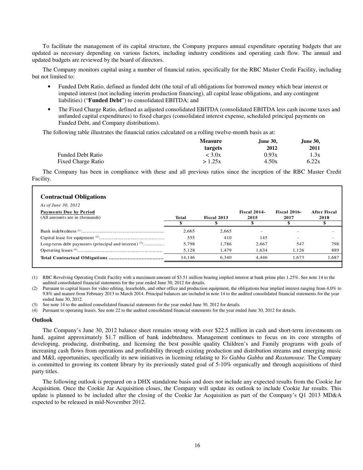To facilitate the management of its capital structure, the Company prepares annual expenditure operating budgets that are updated as necessary depending on various factors, including industry conditions and operating cash flow. The annual and updated budgets are reviewed by the board of directors.

The Company monitors capital using a number of financial ratios, specifically for the RBC Master Credit Facility, including but not limited to:

- Funded Debt Ratio, defined as funded debt (the total of all obligations for borrowed money which bear interest or imputed interest (not including interim production financing), all capital lease obligations, and any contingent liabilities) ("**Funded Debt**") to consolidated EBITDA; and
- The Fixed Charge Ratio, defined as adjusted consolidated EBITDA (consolidated EBITDA less cash income taxes and unfunded capital expenditures) to fixed charges (consolidated interest expense, scheduled principal payments on Funded Debt, and Company distributions).

The following table illustrates the financial ratios calculated on a rolling twelve-month basis as at:

|                           | <b>Measure</b> | June 30, | <b>June 30,</b> |
|---------------------------|----------------|----------|-----------------|
|                           | targets        | 2012     | 2011            |
| <b>Funded Debt Ratio</b>  | < 3.0x         | 0.93x    | 1.3x            |
| <b>Fixed Charge Ratio</b> | > 1.25x        | 4.50x    | 6.22x           |

The Company has been in compliance with these and all previous ratios since the inception of the RBC Master Credit Facility.

| <b>Contractual Obligations</b>                                  |              |                    |                             |                             |                      |
|-----------------------------------------------------------------|--------------|--------------------|-----------------------------|-----------------------------|----------------------|
| As of June 30, 2012                                             |              |                    |                             |                             |                      |
| <b>Payments Due by Period</b><br>(All amounts are in thousands) | <b>Total</b> | <b>Fiscal 2013</b> | <b>Fiscal 2014-</b><br>2015 | <b>Fiscal 2016-</b><br>2017 | After Fiscal<br>2018 |
|                                                                 |              |                    |                             |                             |                      |
|                                                                 | 2.665        | 2,665              |                             |                             |                      |
|                                                                 | 555          | 410                | 145                         | $\overline{\phantom{a}}$    |                      |
| Long-term debt payments (principal and interest) $(3)$          | 5.798        | 1.786              | 2.667                       | 547                         | 798                  |
|                                                                 | 5,128        | 1.479              | 1.634                       | 1.126                       | 889                  |
|                                                                 | 14.146       | 6.340              | 4.446                       | 1.673                       | 1.687                |

(1) RBC Revolving Operating Credit Facility with a maximum amount of \$3.51 million bearing implied interest at bank prime plus 1.25%. See note 14 to the audited consolidated financial statements for the year ended June 30, 2012 for details.

(2) Pursuant to capital leases for video editing, leaseholds, and other office and production equipment, the obligations bear implied interest ranging from 4.0% to 9.8% and mature from February 2013 to March 2014. Principal balances are included in note 14 to the audited consolidated financial statements for the year ended June 30, 2012.

See note 14 to the audited consolidated financial statements for the year ended June 30, 2012 for details.

(4) Pursuant to operating leases. See note 22 to the audited consolidated financial statements for the year ended June 30, 2012 for details.

#### **Outlook**

The Company's June 30, 2012 balance sheet remains strong with over \$22.5 million in cash and short-term investments on hand, against approximately \$1.7 million of bank indebtedness. Management continues to focus on its core strengths of developing, producing, distributing, and licensing the best possible quality Children's and Family programs with goals of increasing cash flows from operations and profitability through existing production and distribution streams and emerging music and M&L opportunities, specifically its new initiatives in licensing relating to *Yo Gabba Gabba* and *Rastamouse*. The Company is committed to growing its content library by its previously stated goal of 5-10% organically and through acquisitions of third party titles.

The following outlook is prepared on a DHX standalone basis and does not include any expected results from the Cookie Jar Acquisition. Once the Cookie Jar Acquisition closes, the Company will update its outlook to include Cookie Jar results. This update is planned to be included after the closing of the Cookie Jar Acquisition as part of the Company's Q1 2013 MD&A expected to be released in mid-November 2012.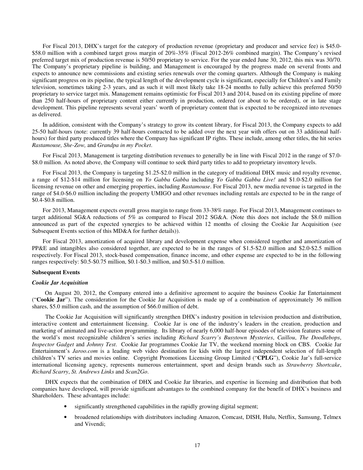For Fiscal 2013, DHX's target for the category of production revenue (proprietary and producer and service fee) is \$45.0- \$58.0 million with a combined target gross margin of 20%-35% (Fiscal 2012-26% combined margin). The Company's revised preferred target mix of production revenue is 50/50 proprietary to service. For the year ended June 30, 2012, this mix was 30/70. The Company's proprietary pipeline is building, and Management is encouraged by the progress made on several fronts and expects to announce new commissions and existing series renewals over the coming quarters. Although the Company is making significant progress on its pipeline, the typical length of the development cycle is significant, especially for Children's and Family television, sometimes taking 2-3 years, and as such it will most likely take 18-24 months to fully achieve this preferred 50/50 proprietary to service target mix. Management remains optimistic for Fiscal 2013 and 2014, based on its existing pipeline of more than 250 half-hours of proprietary content either currently in production, ordered (or about to be ordered), or in late stage development. This pipeline represents several years' worth of proprietary content that is expected to be recognized into revenues as delivered.

In addition, consistent with the Company's strategy to grow its content library, for Fiscal 2013, the Company expects to add 25-50 half-hours (note: currently 39 half-hours contracted to be added over the next year with offers out on 33 additional halfhours) for third party produced titles where the Company has significant IP rights. These include, among other titles, the hit series *Rastamouse, She-Zow,* and *Grandpa in my Pocket*.

For Fiscal 2013, Management is targeting distribution revenues to generally be in line with Fiscal 2012 in the range of \$7.0- \$8.0 million. As noted above, the Company will continue to seek third party titles to add to proprietary inventory levels.

For Fiscal 2013, the Company is targeting \$1.25-\$2.0 million in the category of traditional DHX music and royalty revenue, a range of \$12-\$14 million for licensing on *Yo Gabba Gabba* including *Yo Gabba Gabba Live!* and \$1.0-\$2.0 million for licensing revenue on other and emerging properties, including *Rastamouse*. For Fiscal 2013, new media revenue is targeted in the range of \$4.0-\$6.0 million including the property UMIGO and other revenues including rentals are expected to be in the range of \$0.4-\$0.8 million.

For 2013, Management expects overall gross margin to range from 33-38% range. For Fiscal 2013, Management continues to target additional SG&A reductions of 5% as compared to Fiscal 2012 SG&A. (Note this does not include the \$8.0 million announced as part of the expected synergies to be achieved within 12 months of closing the Cookie Jar Acquisition (see Subsequent Events section of this MD&A for further details)).

For Fiscal 2013, amortization of acquired library and development expense when considered together and amortization of PP&E and intangibles also considered together, are expected to be in the ranges of \$1.5-\$2.0 million and \$2.0-\$2.5 million respectively. For Fiscal 2013, stock-based compensation, finance income, and other expense are expected to be in the following ranges respectively: \$0.5-\$0.75 million, \$0.1-\$0.3 million, and \$0.5-\$1.0 million.

#### **Subsequent Events**

#### *Cookie Jar Acquisition*

On August 20, 2012, the Company entered into a definitive agreement to acquire the business Cookie Jar Entertainment ("**Cookie Jar**"). The consideration for the Cookie Jar Acquisition is made up of a combination of approximately 36 million shares, \$5.0 million cash, and the assumption of \$66.0 million of debt.

The Cookie Jar Acquisition will significantly strengthen DHX's industry position in television production and distribution, interactive content and entertainment licensing. Cookie Jar is one of the industry's leaders in the creation, production and marketing of animated and live-action programming. Its library of nearly 6,000 half-hour episodes of television features some of the world's most recognizable children's series including *Richard Scarry's Busytown Mysteries*, *Caillou*, *The Doodlebops*, *Inspector Gadget* and *Johnny Test*. Cookie Jar programmes Cookie Jar TV, the weekend morning block on CBS. Cookie Jar Entertainment's *Jaroo.com* is a leading web video destination for kids with the largest independent selection of full-length children's TV series and movies online. Copyright Promotions Licensing Group Limited ("**CPLG**"), Cookie Jar's full-service international licensing agency, represents numerous entertainment, sport and design brands such as *Strawberry Shortcake*, *Richard Scarry*, *St. Andrews Links* and *Scan2Go*.

DHX expects that the combination of DHX and Cookie Jar libraries, and expertise in licensing and distribution that both companies have developed, will provide significant advantages to the combined company for the benefit of DHX's business and Shareholders. These advantages include:

- significantly strengthened capabilities in the rapidly growing digital segment;
- broadened relationships with distributors including Amazon, Comcast, DISH, Hulu, Netflix, Samsung, Telmex and Vivendi;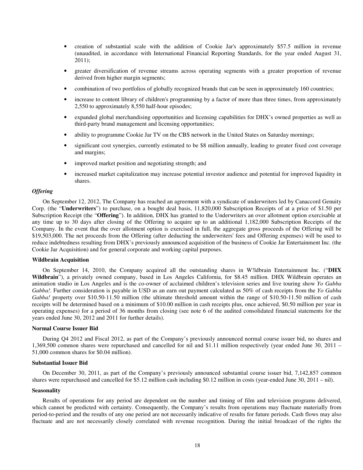- creation of substantial scale with the addition of Cookie Jar's approximately \$57.5 million in revenue (unaudited, in accordance with International Financial Reporting Standards, for the year ended August 31, 2011);
- greater diversification of revenue streams across operating segments with a greater proportion of revenue derived from higher margin segments;
- combination of two portfolios of globally recognized brands that can be seen in approximately 160 countries;
- increase to content library of children's programming by a factor of more than three times, from approximately 2,550 to approximately 8,550 half-hour episodes;
- expanded global merchandising opportunities and licensing capabilities for DHX's owned properties as well as third-party brand management and licensing opportunities;
- ability to programme Cookie Jar TV on the CBS network in the United States on Saturday mornings;
- significant cost synergies, currently estimated to be \$8 million annually, leading to greater fixed cost coverage and margins;
- improved market position and negotiating strength; and
- increased market capitalization may increase potential investor audience and potential for improved liquidity in shares.

#### *Offering*

On September 12, 2012, The Company has reached an agreement with a syndicate of underwriters led by Canaccord Genuity Corp. (the "**Underwriters**") to purchase, on a bought deal basis, 11,820,000 Subscription Receipts of at a price of \$1.50 per Subscription Receipt (the "**Offering**"). In addition, DHX has granted to the Underwriters an over allotment option exercisable at any time up to 30 days after closing of the Offering to acquire up to an additional 1,182,000 Subscription Receipts of the Company. In the event that the over allotment option is exercised in full, the aggregate gross proceeds of the Offering will be \$19,503,000. The net proceeds from the Offering (after deducting the underwriters' fees and Offering expenses) will be used to reduce indebtedness resulting from DHX's previously announced acquisition of the business of Cookie Jar Entertainment Inc. (the Cookie Jar Acquisition) and for general corporate and working capital purposes.

#### **Wildbrain Acquisition**

On September 14, 2010, the Company acquired all the outstanding shares in W!ldbrain Entertainment Inc. ("**DHX Wildbrain**"), a privately owned company, based in Los Angeles California, for \$8.45 million. DHX Wildbrain operates an animation studio in Los Angeles and is the co-owner of acclaimed children's television series and live touring show *Yo Gabba Gabba!*. Further consideration is payable in USD as an earn out payment calculated as 50% of cash receipts from the *Yo Gabba Gabba!* property over \$10.50-11.50 million (the ultimate threshold amount within the range of \$10.50-11.50 million of cash receipts will be determined based on a minimum of \$10.00 million in cash receipts plus, once achieved, \$0.50 million per year in operating expenses) for a period of 36 months from closing (see note 6 of the audited consolidated financial statements for the years ended June 30, 2012 and 2011 for further details).

#### **Normal Course Issuer Bid**

During Q4 2012 and Fiscal 2012, as part of the Company's previously announced normal course issuer bid, no shares and 1,369,500 common shares were repurchased and cancelled for nil and \$1.11 million respectively (year ended June 30, 2011 – 51,000 common shares for \$0.04 million).

#### **Substantial Issuer Bid**

On December 30, 2011, as part of the Company's previously announced substantial course issuer bid, 7,142,857 common shares were repurchased and cancelled for \$5.12 million cash including \$0.12 million in costs (year-ended June 30, 2011 – nil).

#### **Seasonality**

Results of operations for any period are dependent on the number and timing of film and television programs delivered, which cannot be predicted with certainty. Consequently, the Company's results from operations may fluctuate materially from period-to-period and the results of any one period are not necessarily indicative of results for future periods. Cash flows may also fluctuate and are not necessarily closely correlated with revenue recognition. During the initial broadcast of the rights the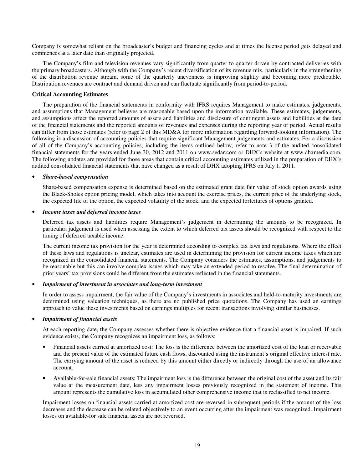Company is somewhat reliant on the broadcaster's budget and financing cycles and at times the license period gets delayed and commences at a later date than originally projected.

The Company's film and television revenues vary significantly from quarter to quarter driven by contracted deliveries with the primary broadcasters. Although with the Company's recent diversification of its revenue mix, particularly in the strengthening of the distribution revenue stream, some of the quarterly unevenness is improving slightly and becoming more predictable. Distribution revenues are contract and demand driven and can fluctuate significantly from period-to-period.

# **Critical Accounting Estimates**

The preparation of the financial statements in conformity with IFRS requires Management to make estimates, judgements, and assumptions that Management believes are reasonable based upon the information available. These estimates, judgements, and assumptions affect the reported amounts of assets and liabilities and disclosure of contingent assets and liabilities at the date of the financial statements and the reported amounts of revenues and expenses during the reporting year or period. Actual results can differ from those estimates (refer to page 2 of this MD&A for more information regarding forward-looking information). The following is a discussion of accounting policies that require significant Management judgements and estimates. For a discussion of all of the Company's accounting policies, including the items outlined below, refer to note 3 of the audited consolidated financial statements for the years ended June 30, 2012 and 2011 on www.sedar.com or DHX's website at www.dhxmedia.com. The following updates are provided for those areas that contain critical accounting estimates utilized in the preparation of DHX's audited consolidated financial statements that have changed as a result of DHX adopting IFRS on July 1, 2011.

# • *Share-based compensation*

Share-based compensation expense is determined based on the estimated grant date fair value of stock option awards using the Black-Sholes option pricing model, which takes into account the exercise prices, the current price of the underlying stock, the expected life of the option, the expected volatility of the stock, and the expected forfeitures of options granted.

# • *Income taxes and deferred income taxes*

Deferred tax assets and liabilities require Management's judgement in determining the amounts to be recognized. In particular, judgement is used when assessing the extent to which deferred tax assets should be recognized with respect to the timing of deferred taxable income.

The current income tax provision for the year is determined according to complex tax laws and regulations. Where the effect of these laws and regulations is unclear, estimates are used in determining the provision for current income taxes which are recognized in the consolidated financial statements. The Company considers the estimates, assumptions, and judgements to be reasonable but this can involve complex issues which may take an extended period to resolve. The final determination of prior years' tax provisions could be different from the estimates reflected in the financial statements.

# • *Impairment of investment in associates and long-term investment*

In order to assess impairment, the fair value of the Company's investments in associates and held-to-maturity investments are determined using valuation techniques, as there are no published price quotations. The Company has used an earnings approach to value these investments based on earnings multiples for recent transactions involving similar businesses.

# • *Impairment of financial assets*

At each reporting date, the Company assesses whether there is objective evidence that a financial asset is impaired. If such evidence exists, the Company recognizes an impairment loss, as follows:

- Financial assets carried at amortized cost: The loss is the difference between the amortized cost of the loan or receivable and the present value of the estimated future cash flows, discounted using the instrument's original effective interest rate. The carrying amount of the asset is reduced by this amount either directly or indirectly through the use of an allowance account.
- Available-for-sale financial assets: The impairment loss is the difference between the original cost of the asset and its fair value at the measurement date, less any impairment losses previously recognized in the statement of income. This amount represents the cumulative loss in accumulated other comprehensive income that is reclassified to net income.

Impairment losses on financial assets carried at amortized cost are reversed in subsequent periods if the amount of the loss decreases and the decrease can be related objectively to an event occurring after the impairment was recognized. Impairment losses on available-for sale financial assets are not reversed.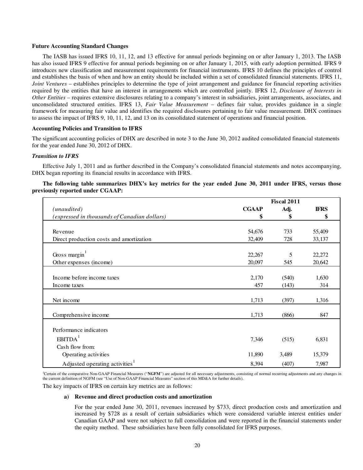#### **Future Accounting Standard Changes**

The IASB has issued IFRS 10, 11, 12, and 13 effective for annual periods beginning on or after January 1, 2013. The IASB has also issued IFRS 9 effective for annual periods beginning on or after January 1, 2015, with early adoption permitted. IFRS 9 introduces new classification and measurement requirements for financial instruments. IFRS 10 defines the principles of control and establishes the basis of when and how an entity should be included within a set of consolidated financial statements. IFRS 11, *Joint Ventures* – establishes principles to determine the type of joint arrangement and guidance for financial reporting activities required by the entities that have an interest in arrangements which are controlled jointly. IFRS 12, *Disclosure of Interests in Other Entities* – requires extensive disclosures relating to a company's interest in subsidiaries, joint arrangements, associates, and unconsolidated structured entities. IFRS 13, *Fair Value Measurement* – defines fair value, provides guidance in a single framework for measuring fair value and identifies the required disclosures pertaining to fair value measurement. DHX continues to assess the impact of IFRS 9, 10, 11, 12, and 13 on its consolidated statement of operations and financial position.

# **Accounting Policies and Transition to IFRS**

The significant accounting policies of DHX are described in note 3 to the June 30, 2012 audited consolidated financial statements for the year ended June 30, 2012 of DHX.

# *Transition to IFRS*

Effective July 1, 2011 and as further described in the Company's consolidated financial statements and notes accompanying, DHX began reporting its financial results in accordance with IFRS.

# **The following table summarizes DHX's key metrics for the year ended June 30, 2011 under IFRS, versus those previously reported under CGAAP:**

|                                              | <b>Fiscal 2011</b> |       |             |  |
|----------------------------------------------|--------------------|-------|-------------|--|
| (unaudited)                                  | <b>CGAAP</b>       | Adj.  | <b>IFRS</b> |  |
| (expressed in thousands of Canadian dollars) | \$                 | \$    | \$          |  |
|                                              |                    |       |             |  |
| Revenue                                      | 54,676             | 733   | 55,409      |  |
| Direct production costs and amortization     | 32,409             | 728   | 33,137      |  |
|                                              |                    |       |             |  |
| Gross margin <sup>1</sup>                    | 22,267             | 5     | 22,272      |  |
| Other expenses (income)                      | 20,097             | 545   | 20,642      |  |
|                                              |                    |       |             |  |
| Income before income taxes                   | 2,170              | (540) | 1,630       |  |
| Income taxes                                 | 457                | (143) | 314         |  |
|                                              |                    |       |             |  |
| Net income                                   | 1,713              | (397) | 1,316       |  |
|                                              |                    |       |             |  |
| Comprehensive income                         | 1,713              | (866) | 847         |  |
|                                              |                    |       |             |  |
| Performance indicators                       |                    |       |             |  |
| EBITDA <sup>1</sup>                          | 7,346              | (515) | 6,831       |  |
| Cash flow from:                              |                    |       |             |  |
| Operating activities                         | 11,890             | 3,489 | 15,379      |  |
| Adjusted operating activities <sup>1</sup>   | 8,394              | (407) | 7,987       |  |

<sup>1</sup>Certain of the comparative Non-GAAP Financial Measures ("NGFM") are adjusted for all necessary adjustments, consisting of normal recurring adjustments and any changes in the current definition of NGFM (see "Use of Non-GAAP Financial Measures" section of this MD&A for further details).

The key impacts of IFRS on certain key metrics are as follows:

#### **a) Revenue and direct production costs and amortization**

For the year ended June 30, 2011, revenues increased by \$733, direct production costs and amortization and increased by \$728 as a result of certain subsidiaries which were considered variable interest entities under Canadian GAAP and were not subject to full consolidation and were reported in the financial statements under the equity method. These subsidiaries have been fully consolidated for IFRS purposes.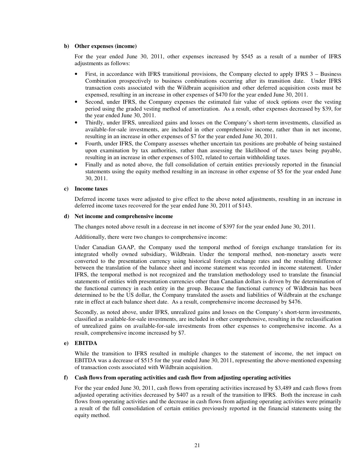#### **b) Other expenses (income)**

For the year ended June 30, 2011, other expenses increased by \$545 as a result of a number of IFRS adjustments as follows:

- First, in accordance with IFRS transitional provisions, the Company elected to apply IFRS 3 Business Combination prospectively to business combinations occurring after its transition date. Under IFRS transaction costs associated with the Wildbrain acquisition and other deferred acquisition costs must be expensed, resulting in an increase in other expenses of \$470 for the year ended June 30, 2011.
- Second, under IFRS, the Company expenses the estimated fair value of stock options over the vesting period using the graded vesting method of amortization. As a result, other expenses decreased by \$39, for the year ended June 30, 2011.
- Thirdly, under IFRS, unrealized gains and losses on the Company's short-term investments, classified as available-for-sale investments, are included in other comprehensive income, rather than in net income, resulting in an increase in other expenses of \$7 for the year ended June 30, 2011.
- Fourth, under IFRS, the Company assesses whether uncertain tax positions are probable of being sustained upon examination by tax authorities, rather than assessing the likelihood of the taxes being payable, resulting in an increase in other expenses of \$102, related to certain withholding taxes.
- Finally and as noted above, the full consolidation of certain entities previously reported in the financial statements using the equity method resulting in an increase in other expense of \$5 for the year ended June 30, 2011.

#### **c) Income taxes**

Deferred income taxes were adjusted to give effect to the above noted adjustments, resulting in an increase in deferred income taxes recovered for the year ended June 30, 2011 of \$143.

#### **d) Net income and comprehensive income**

The changes noted above result in a decrease in net income of \$397 for the year ended June 30, 2011.

Additionally, there were two changes to comprehensive income:

Under Canadian GAAP, the Company used the temporal method of foreign exchange translation for its integrated wholly owned subsidiary, Wildbrain. Under the temporal method, non-monetary assets were converted to the presentation currency using historical foreign exchange rates and the resulting difference between the translation of the balance sheet and income statement was recorded in income statement. Under IFRS, the temporal method is not recognized and the translation methodology used to translate the financial statements of entities with presentation currencies other than Canadian dollars is driven by the determination of the functional currency in each entity in the group. Because the functional currency of Wildbrain has been determined to be the US dollar, the Company translated the assets and liabilities of Wildbrain at the exchange rate in effect at each balance sheet date. As a result, comprehensive income decreased by \$476.

Secondly, as noted above, under IFRS, unrealized gains and losses on the Company's short-term investments, classified as available-for-sale investments, are included in other comprehensive, resulting in the reclassification of unrealized gains on available-for-sale investments from other expenses to comprehensive income. As a result, comprehensive income increased by \$7.

# **e) EBITDA**

While the transition to IFRS resulted in multiple changes to the statement of income, the net impact on EBITDA was a decrease of \$515 for the year ended June 30, 2011, representing the above-mentioned expensing of transaction costs associated with Wildbrain acquisition.

# **f) Cash flows from operating activities and cash flow from adjusting operating activities**

For the year ended June 30, 2011, cash flows from operating activities increased by \$3,489 and cash flows from adjusted operating activities decreased by \$407 as a result of the transition to IFRS. Both the increase in cash flows from operating activities and the decrease in cash flows from adjusting operating activities were primarily a result of the full consolidation of certain entities previously reported in the financial statements using the equity method.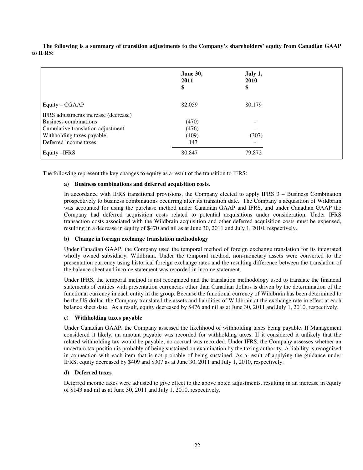**The following is a summary of transition adjustments to the Company's shareholders' equity from Canadian GAAP to IFRS:** 

|                                      | <b>June 30,</b><br>2011<br>\$ | July 1,<br>2010<br>\$ |
|--------------------------------------|-------------------------------|-----------------------|
| Equity – CGAAP                       | 82,059                        | 80,179                |
| IFRS adjustments increase (decrease) |                               |                       |
| Business combinations                | (470)                         |                       |
| Cumulative translation adjustment    | (476)                         |                       |
| Withholding taxes payable            | (409)                         | (307)                 |
| Deferred income taxes                | 143                           |                       |
| Equity – IFRS                        | 80,847                        | 79,872                |

The following represent the key changes to equity as a result of the transition to IFRS:

# **a) Business combinations and deferred acquisition costs.**

In accordance with IFRS transitional provisions, the Company elected to apply IFRS 3 – Business Combination prospectively to business combinations occurring after its transition date. The Company's acquisition of Wildbrain was accounted for using the purchase method under Canadian GAAP and IFRS, and under Canadian GAAP the Company had deferred acquisition costs related to potential acquisitions under consideration. Under IFRS transaction costs associated with the Wildbrain acquisition and other deferred acquisition costs must be expensed, resulting in a decrease in equity of \$470 and nil as at June 30, 2011 and July 1, 2010, respectively.

# **b) Change in foreign exchange translation methodology**

Under Canadian GAAP, the Company used the temporal method of foreign exchange translation for its integrated wholly owned subsidiary, Wildbrain. Under the temporal method, non-monetary assets were converted to the presentation currency using historical foreign exchange rates and the resulting difference between the translation of the balance sheet and income statement was recorded in income statement.

Under IFRS, the temporal method is not recognized and the translation methodology used to translate the financial statements of entities with presentation currencies other than Canadian dollars is driven by the determination of the functional currency in each entity in the group. Because the functional currency of Wildbrain has been determined to be the US dollar, the Company translated the assets and liabilities of Wildbrain at the exchange rate in effect at each balance sheet date. As a result, equity decreased by \$476 and nil as at June 30, 2011 and July 1, 2010, respectively.

# **c) Withholding taxes payable**

Under Canadian GAAP, the Company assessed the likelihood of withholding taxes being payable. If Management considered it likely, an amount payable was recorded for withholding taxes. If it considered it unlikely that the related withholding tax would be payable, no accrual was recorded. Under IFRS, the Company assesses whether an uncertain tax position is probably of being sustained on examination by the taxing authority. A liability is recognised in connection with each item that is not probable of being sustained. As a result of applying the guidance under IFRS, equity decreased by \$409 and \$307 as at June 30, 2011 and July 1, 2010, respectively.

# **d) Deferred taxes**

Deferred income taxes were adjusted to give effect to the above noted adjustments, resulting in an increase in equity of \$143 and nil as at June 30, 2011 and July 1, 2010, respectively.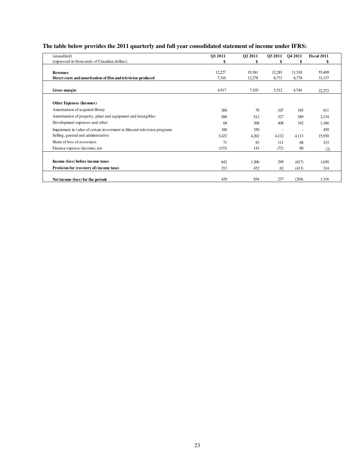# **The table below provides the 2011 quarterly and full year consolidated statement of income under IFRS:**

| (unaudited)                                                               | O1 2011 | O <sub>2</sub> 2011 | O3 2011 | <b>O4 2011</b> | <b>Fiscal 2011</b> |  |
|---------------------------------------------------------------------------|---------|---------------------|---------|----------------|--------------------|--|
| (expressed in thousands of Canadian dollars)                              | \$      | \$                  | \$      | S              |                    |  |
|                                                                           |         |                     |         |                |                    |  |
| <b>Revenues</b>                                                           | 12,227  | 19,381              | 12,283  | 11,518         | 55,409             |  |
| Direct costs and amortization of film and television produced             | 7,310   | 12,278              | 6,771   | 6,778          | 33,137             |  |
| Gross margin                                                              | 4,917   | 7,103               | 5,512   | 4,740          | 22,272             |  |
| Other Expenses (Incomes)                                                  |         |                     |         |                |                    |  |
| Amortization of acquired library                                          | 260     | 79                  | 107     | 165            | 611                |  |
| Amortization of property, plant and equipment and intangibles             | 506     | 512                 | 527     | 589            | 2,134              |  |
| Development expenses and other                                            | 68      | 368                 | 408     | 342            | 1,186              |  |
| Impairment in value of certain investment in film and television programs | 100     | 350                 | ٠       |                | 450                |  |
| Selling, general and administrative                                       | 3,423   | 4,262               | 4,132   | 4,113          | 15,930             |  |
| Share of loss of associates                                               | 71      | 83                  | 111     | 68             | 333                |  |
| Finance expense (income), net                                             | (153)   | 143                 | (72)    | 80             | (2)                |  |
|                                                                           |         |                     |         |                |                    |  |
| Income (loss) before income taxes                                         | 642     | 1,306               | 299     | (617)          | 1,630              |  |
| Provision for (recovery of) income taxes                                  | 213     | 452                 | 62      | (413)          | 314                |  |
| Net income (loss) for the periods                                         | 429     | 854                 | 237     | (204)          | 1,316              |  |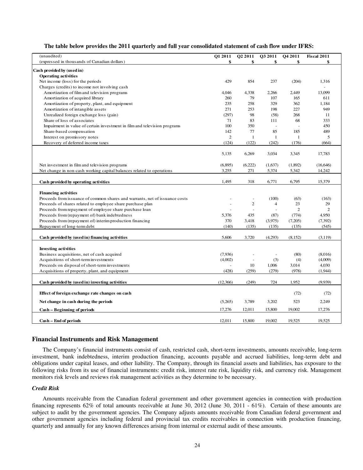#### **The table below provides the 2011 quarterly and full year consolidated statement of cash flow under IFRS:**

| (unaudited)                                                                 | Q1 2011        | Q2 2011        | Q3 2011      | Q4 2011        | <b>Fiscal 2011</b> |
|-----------------------------------------------------------------------------|----------------|----------------|--------------|----------------|--------------------|
| (expressed in thousands of Canadian dollars)                                | \$             | \$             | \$           | \$             | \$                 |
|                                                                             |                |                |              |                |                    |
| Cash provided by (used in)                                                  |                |                |              |                |                    |
| <b>Operating activities</b>                                                 |                |                |              |                |                    |
| Net income (loss) for the periods                                           | 429            | 854            | 237          | (204)          | 1.316              |
| Charges (credits) to income not involving cash                              |                |                |              |                |                    |
| Amortization of film and television programs                                | 4,046          | 4,338          | 2,266        | 2,449          | 13,099             |
| Amortization of acquired library                                            | 260            | 79             | 107          | 165            | 611                |
| Amortization of property, plant, and equipment                              | 235            | 258            | 329          | 362            | 1,184              |
| Amortization of intangible assets                                           | 271            | 253            | 198          | 227            | 949                |
| Unrealized foreign exchange loss (gain)                                     | (297)          | 98             | (58)         | 268            | 11                 |
| Share of loss of associates                                                 | 71             | 83             | 111          | 68             | 333                |
| Impairment in value of certain investment in film and television programs   | 100            | 350            | $\omega$     | $\sim$         | 450                |
| Share-based compensation                                                    | 142            | 77             | 85           | 185            | 489                |
| Interest on promissory notes                                                | $\overline{c}$ | $\mathbf{1}$   | $\mathbf{1}$ | $\mathbf{1}$   | 5                  |
| Recovery of deferred income taxes                                           | (124)          | (122)          | (242)        | (176)          | (664)              |
|                                                                             | 5,135          | 6,269          | 3,034        | 3,345          | 17,783             |
|                                                                             |                |                |              |                |                    |
| Net investment in film and television programs                              | (6,895)        | (6,222)        | (1,637)      | (1,892)        | (16, 646)          |
| Net change in non-cash working capital balances related to operations       | 3,255          | 271            | 5,374        | 5,342          | 14,242             |
|                                                                             |                |                |              |                |                    |
| Cash provided by operating activities                                       | 1,495          | 318            | 6,771        | 6,795          | 15,379             |
| <b>Financing activities</b>                                                 |                |                |              |                |                    |
| Proceeds from issuance of common shares and warrants, net of issuance costs |                | ÷,             | (100)        | (63)           | (163)              |
| Proceeds of shares related to employee share purchase plan                  |                | $\sqrt{2}$     | 4            | 23             | 29                 |
| Proceeds from repayment of employee share purchase loan                     |                | $\overline{a}$ | $\sim$       | $\overline{2}$ | $\mathfrak{2}$     |
| Proceeds from (repayment of) bank indebtedness                              | 5,376          | 435            | (87)         | (774)          | 4,950              |
| Proceeds from (repayment of) interim production financing                   | 370            | 3,418          | (3,975)      | (7,205)        | (7, 392)           |
| Repayment of long-term debt                                                 | (140)          | (135)          | (135)        | (135)          | (545)              |
|                                                                             |                |                |              |                |                    |
| Cash provided by (used in) financing activities                             | 5,606          | 3,720          | (4,293)      | (8, 152)       | (3,119)            |
|                                                                             |                |                |              |                |                    |
| <b>Investing activities</b>                                                 |                |                | $\sim$       |                |                    |
| Business acquisitions, net of cash acquired                                 | (7,936)        |                |              | (80)           | (8,016)            |
| Acquisitions of short-term investments                                      | (4,002)        |                | (3)          | (4)            | (4,009)            |
| Proceeds on disposal of short-term investments                              |                | 10             | 1,006        | 3,014          | 4,030              |
| Acquisitions of property, plant, and equipment                              | (428)          | (259)          | (279)        | (978)          | (1,944)            |
| Cash provided by (used in) investing activities                             | (12,366)       | (249)          | 724          | 1,952          | (9,939)            |
| Effect of foreign exchange rate changes on cash                             |                |                |              | (72)           | (72)               |
| Net change in cash during the periods                                       | (5,265)        | 3,789          | 3,202        | 523            | 2,249              |
| Cash - Beginning of periods                                                 | 17,276         | 12,011         | 15,800       | 19,002         | 17,276             |
|                                                                             |                |                |              |                |                    |
| Cash – End of periods                                                       | 12,011         | 15,800         | 19,002       | 19,525         | 19,525             |

#### **Financial Instruments and Risk Management**

The Company's financial instruments consist of cash, restricted cash, short-term investments, amounts receivable, long-term investment, bank indebtedness, interim production financing, accounts payable and accrued liabilities, long-term debt and obligations under capital leases, and other liability. The Company, through its financial assets and liabilities, has exposure to the following risks from its use of financial instruments: credit risk, interest rate risk, liquidity risk, and currency risk. Management monitors risk levels and reviews risk management activities as they determine to be necessary.

# *Credit Risk*

Amounts receivable from the Canadian federal government and other government agencies in connection with production financing represents 62% of total amounts receivable at June 30, 2012 (June 30, 2011 - 61%). Certain of these amounts are subject to audit by the government agencies. The Company adjusts amounts receivable from Canadian federal government and other government agencies including federal and provincial tax credits receivables in connection with production financing, quarterly and annually for any known differences arising from internal or external audit of these amounts.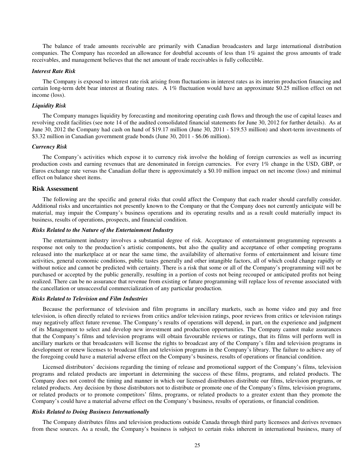The balance of trade amounts receivable are primarily with Canadian broadcasters and large international distribution companies. The Company has recorded an allowance for doubtful accounts of less than 1% against the gross amounts of trade receivables, and management believes that the net amount of trade receivables is fully collectible.

#### *Interest Rate Risk*

The Company is exposed to interest rate risk arising from fluctuations in interest rates as its interim production financing and certain long-term debt bear interest at floating rates. A 1% fluctuation would have an approximate \$0.25 million effect on net income (loss).

#### *Liquidity Risk*

The Company manages liquidity by forecasting and monitoring operating cash flows and through the use of capital leases and revolving credit facilities (see note 14 of the audited consolidated financial statements for June 30, 2012 for further details). As at June 30, 2012 the Company had cash on hand of \$19.17 million (June 30, 2011 - \$19.53 million) and short-term investments of \$3.32 million in Canadian government grade bonds (June 30, 2011 - \$6.06 million).

#### *Currency Risk*

The Company's activities which expose it to currency risk involve the holding of foreign currencies as well as incurring production costs and earning revenues that are denominated in foreign currencies. For every 1% change in the USD, GBP, or Euros exchange rate versus the Canadian dollar there is approximately a \$0.10 million impact on net income (loss) and minimal effect on balance sheet items.

# **Risk Assessment**

The following are the specific and general risks that could affect the Company that each reader should carefully consider. Additional risks and uncertainties not presently known to the Company or that the Company does not currently anticipate will be material, may impair the Company's business operations and its operating results and as a result could materially impact its business, results of operations, prospects, and financial condition.

#### *Risks Related to the Nature of the Entertainment Industry*

The entertainment industry involves a substantial degree of risk. Acceptance of entertainment programming represents a response not only to the production's artistic components, but also the quality and acceptance of other competing programs released into the marketplace at or near the same time, the availability of alternative forms of entertainment and leisure time activities, general economic conditions, public tastes generally and other intangible factors, all of which could change rapidly or without notice and cannot be predicted with certainty. There is a risk that some or all of the Company's programming will not be purchased or accepted by the public generally, resulting in a portion of costs not being recouped or anticipated profits not being realized. There can be no assurance that revenue from existing or future programming will replace loss of revenue associated with the cancellation or unsuccessful commercialization of any particular production.

#### *Risks Related to Television and Film Industries*

Because the performance of television and film programs in ancillary markets, such as home video and pay and free television, is often directly related to reviews from critics and/or television ratings, poor reviews from critics or television ratings may negatively affect future revenue. The Company's results of operations will depend, in part, on the experience and judgment of its Management to select and develop new investment and production opportunities. The Company cannot make assurances that the Company's films and television programs will obtain favourable reviews or ratings, that its films will perform well in ancillary markets or that broadcasters will license the rights to broadcast any of the Company's film and television programs in development or renew licenses to broadcast film and television programs in the Company's library. The failure to achieve any of the foregoing could have a material adverse effect on the Company's business, results of operations or financial condition.

Licensed distributors' decisions regarding the timing of release and promotional support of the Company's films, television programs and related products are important in determining the success of these films, programs, and related products. The Company does not control the timing and manner in which our licensed distributors distribute our films, television programs, or related products. Any decision by those distributors not to distribute or promote one of the Company's films, television programs, or related products or to promote competitors' films, programs, or related products to a greater extent than they promote the Company's could have a material adverse effect on the Company's business, results of operations, or financial condition.

#### *Risks Related to Doing Business Internationally*

The Company distributes films and television productions outside Canada through third party licensees and derives revenues from these sources. As a result, the Company's business is subject to certain risks inherent in international business, many of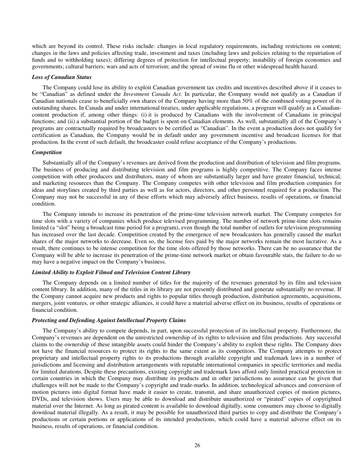which are beyond its control. These risks include: changes in local regulatory requirements, including restrictions on content; changes in the laws and policies affecting trade, investment and taxes (including laws and policies relating to the repatriation of funds and to withholding taxes); differing degrees of protection for intellectual property; instability of foreign economies and governments; cultural barriers; wars and acts of terrorism; and the spread of swine flu or other widespread health hazard.

#### *Loss of Canadian Status*

The Company could lose its ability to exploit Canadian government tax credits and incentives described above if it ceases to be "Canadian" as defined under the *Investment Canada Act*. In particular, the Company would not qualify as a Canadian if Canadian nationals cease to beneficially own shares of the Company having more than 50% of the combined voting power of its outstanding shares. In Canada and under international treaties, under applicable regulations, a program will qualify as a Canadiancontent production if, among other things: (i) it is produced by Canadians with the involvement of Canadians in principal functions; and (ii) a substantial portion of the budget is spent on Canadian elements. As well, substantially all of the Company's programs are contractually required by broadcasters to be certified as "Canadian". In the event a production does not qualify for certification as Canadian, the Company would be in default under any government incentive and broadcast licenses for that production. In the event of such default, the broadcaster could refuse acceptance of the Company's productions.

#### *Competition*

Substantially all of the Company's revenues are derived from the production and distribution of television and film programs. The business of producing and distributing television and film programs is highly competitive. The Company faces intense competition with other producers and distributors, many of whom are substantially larger and have greater financial, technical, and marketing resources than the Company. The Company competes with other television and film production companies for ideas and storylines created by third parties as well as for actors, directors, and other personnel required for a production. The Company may not be successful in any of these efforts which may adversely affect business, results of operations, or financial condition.

The Company intends to increase its penetration of the prime-time television network market. The Company competes for time slots with a variety of companies which produce televised programming. The number of network prime-time slots remains limited (a "slot" being a broadcast time period for a program), even though the total number of outlets for television programming has increased over the last decade. Competition created by the emergence of new broadcasters has generally caused the market shares of the major networks to decrease. Even so, the license fees paid by the major networks remain the most lucrative. As a result, there continues to be intense competition for the time slots offered by those networks. There can be no assurance that the Company will be able to increase its penetration of the prime-time network market or obtain favourable stats, the failure to do so may have a negative impact on the Company's business.

#### *Limited Ability to Exploit Filmed and Television Content Library*

The Company depends on a limited number of titles for the majority of the revenues generated by its film and television content library. In addition, many of the titles in its library are not presently distributed and generate substantially no revenue. If the Company cannot acquire new products and rights to popular titles through production, distribution agreements, acquisitions, mergers, joint ventures, or other strategic alliances, it could have a material adverse effect on its business, results of operations or financial condition.

# *Protecting and Defending Against Intellectual Property Claims*

The Company's ability to compete depends, in part, upon successful protection of its intellectual property. Furthermore, the Company's revenues are dependent on the unrestricted ownership of its rights to television and film productions. Any successful claims to the ownership of these intangible assets could hinder the Company's ability to exploit these rights. The Company does not have the financial resources to protect its rights to the same extent as its competitors. The Company attempts to protect proprietary and intellectual property rights to its productions through available copyright and trademark laws in a number of jurisdictions and licensing and distribution arrangements with reputable international companies in specific territories and media for limited durations. Despite these precautions, existing copyright and trademark laws afford only limited practical protection in certain countries in which the Company may distribute its products and in other jurisdictions no assurance can be given that challenges will not be made to the Company's copyright and trade-marks. In addition, technological advances and conversion of motion pictures into digital format have made it easier to create, transmit, and share unauthorized copies of motion pictures, DVDs, and television shows. Users may be able to download and distribute unauthorized or "pirated" copies of copyrighted material over the Internet. As long as pirated content is available to download digitally, some consumers may choose to digitally download material illegally. As a result, it may be possible for unauthorized third parties to copy and distribute the Company's productions or certain portions or applications of its intended productions, which could have a material adverse effect on its business, results of operations, or financial condition.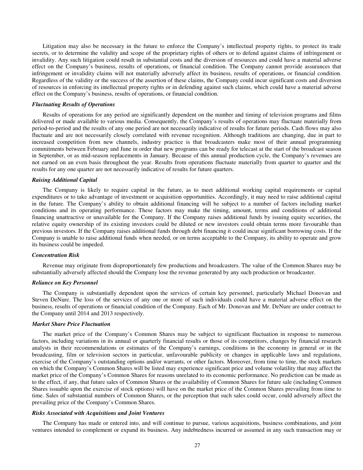Litigation may also be necessary in the future to enforce the Company's intellectual property rights, to protect its trade secrets, or to determine the validity and scope of the proprietary rights of others or to defend against claims of infringement or invalidity. Any such litigation could result in substantial costs and the diversion of resources and could have a material adverse effect on the Company's business, results of operations, or financial condition. The Company cannot provide assurances that infringement or invalidity claims will not materially adversely affect its business, results of operations, or financial condition. Regardless of the validity or the success of the assertion of these claims, the Company could incur significant costs and diversion of resources in enforcing its intellectual property rights or in defending against such claims, which could have a material adverse effect on the Company's business, results of operations, or financial condition.

# *Fluctuating Results of Operations*

Results of operations for any period are significantly dependent on the number and timing of television programs and films delivered or made available to various media. Consequently, the Company's results of operations may fluctuate materially from period-to-period and the results of any one period are not necessarily indicative of results for future periods. Cash flows may also fluctuate and are not necessarily closely correlated with revenue recognition. Although traditions are changing, due in part to increased competition from new channels, industry practice is that broadcasters make most of their annual programming commitments between February and June in order that new programs can be ready for telecast at the start of the broadcast season in September, or as mid-season replacements in January. Because of this annual production cycle, the Company's revenues are not earned on an even basis throughout the year. Results from operations fluctuate materially from quarter to quarter and the results for any one quarter are not necessarily indicative of results for future quarters.

# *Raising Additional Capital*

The Company is likely to require capital in the future, as to meet additional working capital requirements or capital expenditures or to take advantage of investment or acquisition opportunities. Accordingly, it may need to raise additional capital in the future. The Company's ability to obtain additional financing will be subject to a number of factors including market conditions and its operating performance. These factors may make the timing, amount, terms and conditions of additional financing unattractive or unavailable for the Company. If the Company raises additional funds by issuing equity securities, the relative equity ownership of its existing investors could be diluted or new investors could obtain terms more favourable than previous investors. If the Company raises additional funds through debt financing it could incur significant borrowing costs. If the Company is unable to raise additional funds when needed, or on terms acceptable to the Company, its ability to operate and grow its business could be impeded.

#### *Concentration Risk*

Revenue may originate from disproportionately few productions and broadcasters. The value of the Common Shares may be substantially adversely affected should the Company lose the revenue generated by any such production or broadcaster.

#### *Reliance on Key Personnel*

The Company is substantially dependent upon the services of certain key personnel, particularly Michael Donovan and Steven DeNure. The loss of the services of any one or more of such individuals could have a material adverse effect on the business, results of operations or financial condition of the Company. Each of Mr. Donovan and Mr. DeNure are under contract to the Company until 2014 and 2013 respectively.

#### *Market Share Price Fluctuation*

The market price of the Company's Common Shares may be subject to significant fluctuation in response to numerous factors, including variations in its annual or quarterly financial results or those of its competitors, changes by financial research analysts in their recommendations or estimates of the Company's earnings, conditions in the economy in general or in the broadcasting, film or television sectors in particular, unfavourable publicity or changes in applicable laws and regulations, exercise of the Company's outstanding options and/or warrants, or other factors. Moreover, from time to time, the stock markets on which the Company's Common Shares will be listed may experience significant price and volume volatility that may affect the market price of the Company's Common Shares for reasons unrelated to its economic performance. No prediction can be made as to the effect, if any, that future sales of Common Shares or the availability of Common Shares for future sale (including Common Shares issuable upon the exercise of stock options) will have on the market price of the Common Shares prevailing from time to time. Sales of substantial numbers of Common Shares, or the perception that such sales could occur, could adversely affect the prevailing price of the Company's Common Shares.

# *Risks Associated with Acquisitions and Joint Ventures*

The Company has made or entered into, and will continue to pursue, various acquisitions, business combinations, and joint ventures intended to complement or expand its business. Any indebtedness incurred or assumed in any such transaction may or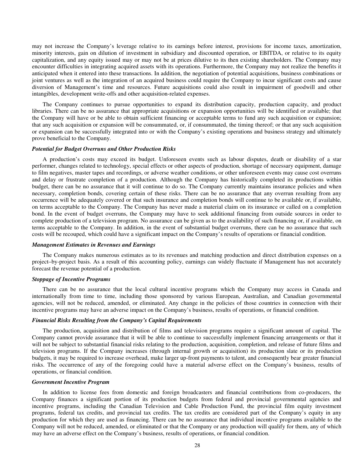may not increase the Company's leverage relative to its earnings before interest, provisions for income taxes, amortization, minority interests, gain on dilution of investment in subsidiary and discounted operation, or EBITDA, or relative to its equity capitalization, and any equity issued may or may not be at prices dilutive to its then existing shareholders. The Company may encounter difficulties in integrating acquired assets with its operations. Furthermore, the Company may not realize the benefits it anticipated when it entered into these transactions. In addition, the negotiation of potential acquisitions, business combinations or joint ventures as well as the integration of an acquired business could require the Company to incur significant costs and cause diversion of Management's time and resources. Future acquisitions could also result in impairment of goodwill and other intangibles, development write-offs and other acquisition-related expenses.

The Company continues to pursue opportunities to expand its distribution capacity, production capacity, and product libraries. There can be no assurance that appropriate acquisitions or expansion opportunities will be identified or available; that the Company will have or be able to obtain sufficient financing or acceptable terms to fund any such acquisition or expansion; that any such acquisition or expansion will be consummated, or, if consummated, the timing thereof; or that any such acquisition or expansion can be successfully integrated into or with the Company's existing operations and business strategy and ultimately prove beneficial to the Company.

# *Potential for Budget Overruns and Other Production Risks*

A production's costs may exceed its budget. Unforeseen events such as labour disputes, death or disability of a star performer, changes related to technology, special effects or other aspects of production, shortage of necessary equipment, damage to film negatives, master tapes and recordings, or adverse weather conditions, or other unforeseen events may cause cost overruns and delay or frustrate completion of a production. Although the Company has historically completed its productions within budget, there can be no assurance that it will continue to do so. The Company currently maintains insurance policies and when necessary, completion bonds, covering certain of these risks. There can be no assurance that any overrun resulting from any occurrence will be adequately covered or that such insurance and completion bonds will continue to be available or, if available, on terms acceptable to the Company. The Company has never made a material claim on its insurance or called on a completion bond. In the event of budget overruns, the Company may have to seek additional financing from outside sources in order to complete production of a television program. No assurance can be given as to the availability of such financing or, if available, on terms acceptable to the Company. In addition, in the event of substantial budget overruns, there can be no assurance that such costs will be recouped, which could have a significant impact on the Company's results of operations or financial condition.

# *Management Estimates in Revenues and Earnings*

The Company makes numerous estimates as to its revenues and matching production and direct distribution expenses on a project–by-project basis. As a result of this accounting policy, earnings can widely fluctuate if Management has not accurately forecast the revenue potential of a production.

#### *Stoppage of Incentive Programs*

There can be no assurance that the local cultural incentive programs which the Company may access in Canada and internationally from time to time, including those sponsored by various European, Australian, and Canadian governmental agencies, will not be reduced, amended, or eliminated. Any change in the policies of those countries in connection with their incentive programs may have an adverse impact on the Company's business, results of operations, or financial condition.

# *Financial Risks Resulting from the Company's Capital Requirements*

The production, acquisition and distribution of films and television programs require a significant amount of capital. The Company cannot provide assurance that it will be able to continue to successfully implement financing arrangements or that it will not be subject to substantial financial risks relating to the production, acquisition, completion, and release of future films and television programs. If the Company increases (through internal growth or acquisition) its production slate or its production budgets, it may be required to increase overhead, make larger up-front payments to talent, and consequently bear greater financial risks. The occurrence of any of the foregoing could have a material adverse effect on the Company's business, results of operations, or financial condition.

#### *Government Incentive Program*

In addition to license fees from domestic and foreign broadcasters and financial contributions from co-producers, the Company finances a significant portion of its production budgets from federal and provincial governmental agencies and incentive programs, including the Canadian Television and Cable Production Fund, the provincial film equity investment programs, federal tax credits, and provincial tax credits. The tax credits are considered part of the Company's equity in any production for which they are used as financing. There can be no assurance that individual incentive programs available to the Company will not be reduced, amended, or eliminated or that the Company or any production will qualify for them, any of which may have an adverse effect on the Company's business, results of operations, or financial condition.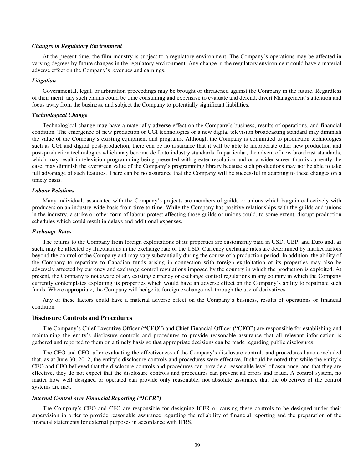#### *Changes in Regulatory Environment*

At the present time, the film industry is subject to a regulatory environment. The Company's operations may be affected in varying degrees by future changes in the regulatory environment. Any change in the regulatory environment could have a material adverse effect on the Company's revenues and earnings.

#### *Litigation*

Governmental, legal, or arbitration proceedings may be brought or threatened against the Company in the future. Regardless of their merit, any such claims could be time consuming and expensive to evaluate and defend, divert Management's attention and focus away from the business, and subject the Company to potentially significant liabilities.

#### *Technological Change*

Technological change may have a materially adverse effect on the Company's business, results of operations, and financial condition. The emergence of new production or CGI technologies or a new digital television broadcasting standard may diminish the value of the Company's existing equipment and programs. Although the Company is committed to production technologies such as CGI and digital post-production, there can be no assurance that it will be able to incorporate other new production and post-production technologies which may become de facto industry standards. In particular, the advent of new broadcast standards, which may result in television programming being presented with greater resolution and on a wider screen than is currently the case, may diminish the evergreen value of the Company's programming library because such productions may not be able to take full advantage of such features. There can be no assurance that the Company will be successful in adapting to these changes on a timely basis.

#### *Labour Relations*

Many individuals associated with the Company's projects are members of guilds or unions which bargain collectively with producers on an industry-wide basis from time to time. While the Company has positive relationships with the guilds and unions in the industry, a strike or other form of labour protest affecting those guilds or unions could, to some extent, disrupt production schedules which could result in delays and additional expenses.

#### *Exchange Rates*

The returns to the Company from foreign exploitations of its properties are customarily paid in USD, GBP, and Euro and, as such, may be affected by fluctuations in the exchange rate of the USD. Currency exchange rates are determined by market factors beyond the control of the Company and may vary substantially during the course of a production period. In addition, the ability of the Company to repatriate to Canadian funds arising in connection with foreign exploitation of its properties may also be adversely affected by currency and exchange control regulations imposed by the country in which the production is exploited. At present, the Company is not aware of any existing currency or exchange control regulations in any country in which the Company currently contemplates exploiting its properties which would have an adverse effect on the Company's ability to repatriate such funds. Where appropriate, the Company will hedge its foreign exchange risk through the use of derivatives.

Any of these factors could have a material adverse effect on the Company's business, results of operations or financial condition.

# **Disclosure Controls and Procedures**

The Company's Chief Executive Officer (**"CEO"**) and Chief Financial Officer (**"CFO"**) are responsible for establishing and maintaining the entity's disclosure controls and procedures to provide reasonable assurance that all relevant information is gathered and reported to them on a timely basis so that appropriate decisions can be made regarding public disclosures.

The CEO and CFO, after evaluating the effectiveness of the Company's disclosure controls and procedures have concluded that, as at June 30, 2012, the entity's disclosure controls and procedures were effective. It should be noted that while the entity's CEO and CFO believed that the disclosure controls and procedures can provide a reasonable level of assurance, and that they are effective, they do not expect that the disclosure controls and procedures can prevent all errors and fraud. A control system, no matter how well designed or operated can provide only reasonable, not absolute assurance that the objectives of the control systems are met.

# *Internal Control over Financial Reporting ("ICFR")*

The Company's CEO and CFO are responsible for designing ICFR or causing these controls to be designed under their supervision in order to provide reasonable assurance regarding the reliability of financial reporting and the preparation of the financial statements for external purposes in accordance with IFRS.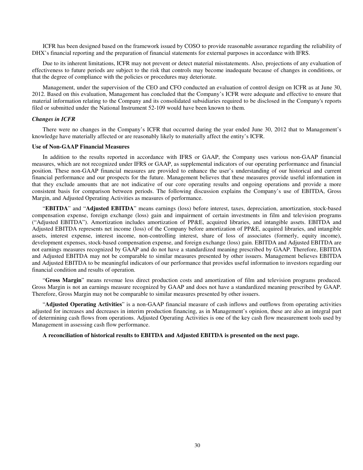ICFR has been designed based on the framework issued by COSO to provide reasonable assurance regarding the reliability of DHX's financial reporting and the preparation of financial statements for external purposes in accordance with IFRS.

Due to its inherent limitations, ICFR may not prevent or detect material misstatements. Also, projections of any evaluation of effectiveness to future periods are subject to the risk that controls may become inadequate because of changes in conditions, or that the degree of compliance with the policies or procedures may deteriorate.

Management, under the supervision of the CEO and CFO conducted an evaluation of control design on ICFR as at June 30, 2012. Based on this evaluation, Management has concluded that the Company's ICFR were adequate and effective to ensure that material information relating to the Company and its consolidated subsidiaries required to be disclosed in the Company's reports filed or submitted under the National Instrument 52-109 would have been known to them.

#### *Changes in ICFR*

There were no changes in the Company's ICFR that occurred during the year ended June 30, 2012 that to Management's knowledge have materially affected or are reasonably likely to materially affect the entity's ICFR.

# **Use of Non-GAAP Financial Measures**

In addition to the results reported in accordance with IFRS or GAAP, the Company uses various non-GAAP financial measures, which are not recognized under IFRS or GAAP, as supplemental indicators of our operating performance and financial position. These non-GAAP financial measures are provided to enhance the user's understanding of our historical and current financial performance and our prospects for the future. Management believes that these measures provide useful information in that they exclude amounts that are not indicative of our core operating results and ongoing operations and provide a more consistent basis for comparison between periods. The following discussion explains the Company's use of EBITDA, Gross Margin, and Adjusted Operating Activities as measures of performance.

"**EBITDA**" and "**Adjusted EBITDA**" means earnings (loss) before interest, taxes, depreciation, amortization, stock-based compensation expense, foreign exchange (loss) gain and impairment of certain investments in film and television programs ("Adjusted EBITDA"). Amortization includes amortization of PP&E, acquired libraries, and intangible assets. EBITDA and Adjusted EBITDA represents net income (loss) of the Company before amortization of PP&E, acquired libraries, and intangible assets, interest expense, interest income, non-controlling interest, share of loss of associates (formerly, equity income), development expenses, stock-based compensation expense, and foreign exchange (loss) gain. EBITDA and Adjusted EBITDA are not earnings measures recognized by GAAP and do not have a standardized meaning prescribed by GAAP. Therefore, EBITDA and Adjusted EBITDA may not be comparable to similar measures presented by other issuers. Management believes EBITDA and Adjusted EBITDA to be meaningful indicators of our performance that provides useful information to investors regarding our financial condition and results of operation.

"**Gross Margin**" means revenue less direct production costs and amortization of film and television programs produced. Gross Margin is not an earnings measure recognized by GAAP and does not have a standardized meaning prescribed by GAAP. Therefore, Gross Margin may not be comparable to similar measures presented by other issuers.

"**Adjusted Operating Activities**" is a non-GAAP financial measure of cash inflows and outflows from operating activities adjusted for increases and decreases in interim production financing, as in Management's opinion, these are also an integral part of determining cash flows from operations. Adjusted Operating Activities is one of the key cash flow measurement tools used by Management in assessing cash flow performance.

#### **A reconciliation of historical results to EBITDA and Adjusted EBITDA is presented on the next page.**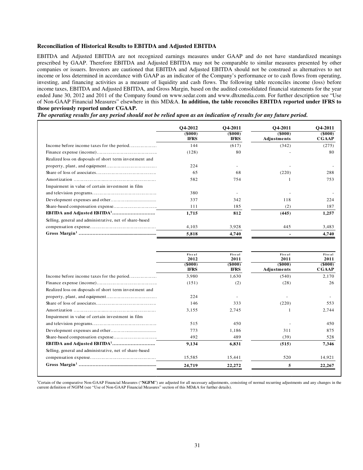# **Reconciliation of Historical Results to EBITDA and Adjusted EBITDA**

EBITDA and Adjusted EBITDA are not recognized earnings measures under GAAP and do not have standardized meanings prescribed by GAAP. Therefore EBITDA and Adjusted EBITDA may not be comparable to similar measures presented by other companies or issuers. Investors are cautioned that EBITDA and Adjusted EBITDA should not be construed as alternatives to net income or loss determined in accordance with GAAP as an indicator of the Company's performance or to cash flows from operating, investing, and financing activities as a measure of liquidity and cash flows. The following table reconciles income (loss) before income taxes, EBITDA and Adjusted EBITDA, and Gross Margin, based on the audited consolidated financial statements for the year ended June 30, 2012 and 2011 of the Company found on www.sedar.com and www.dhxmedia.com. For further description see "Use of Non-GAAP Financial Measures" elsewhere in this MD&A. **In addition, the table reconciles EBITDA reported under IFRS to those previously reported under CGAAP.**

*The operating results for any period should not be relied upon as an indication of results for any future period.*

|                                                         | <b>O4-2012</b>          | O4-2011                      | O4-2011                      | <b>O4-2011</b>                |
|---------------------------------------------------------|-------------------------|------------------------------|------------------------------|-------------------------------|
|                                                         | ( \$000)<br><b>IFRS</b> | $($ \$000 $)$<br><b>IFRS</b> | $($ \$000 $)$<br>Adjustments | $($ \$000 $)$<br><b>CGAAP</b> |
|                                                         | 144                     | (617)                        | (342)                        | (275)                         |
|                                                         | (128)                   | 80                           |                              | 80                            |
| Realized loss on disposals of short term investment and |                         |                              |                              |                               |
|                                                         | 224                     |                              |                              |                               |
|                                                         | 65                      | 68                           | (220)                        | 288                           |
|                                                         | 582                     | 754                          |                              | 753                           |
| Impairment in value of certain investment in film       |                         |                              |                              |                               |
|                                                         | 380                     |                              |                              |                               |
|                                                         | 337                     | 342                          | 118                          | 224                           |
|                                                         | 111                     | 185                          | (2)                          | 187                           |
|                                                         | 1,715                   | 812                          | (445)                        | 1,257                         |
| Selling, general and administrative, net of share-based |                         |                              |                              |                               |
|                                                         | 4,103                   | 3,928                        | 445                          | 3,483                         |
|                                                         | 5,818                   | 4,740                        |                              | 4,740                         |

|                                                         | Fiscal<br>2012               | Fiscal<br>2011               | Fiscal<br>2011        | Fiscal<br>2011                |
|---------------------------------------------------------|------------------------------|------------------------------|-----------------------|-------------------------------|
|                                                         | $($ \$000 $)$<br><b>IFRS</b> | $($ \$000 $)$<br><b>IFRS</b> | (5000)<br>Adjustments | $($ \$000 $)$<br><b>CGAAP</b> |
|                                                         | 3,980                        | 1,630                        | (540)                 | 2,170                         |
|                                                         | (151)                        | (2)                          | (28)                  | 26                            |
| Realized loss on disposals of short term investment and |                              |                              |                       |                               |
|                                                         | 224                          |                              |                       |                               |
|                                                         | 146                          | 333                          | (220)                 | 553                           |
|                                                         | 3,155                        | 2,745                        |                       | 2,744                         |
| Impairment in value of certain investment in film       |                              |                              |                       |                               |
|                                                         | 515                          | 450                          |                       | 450                           |
|                                                         | 773                          | 1,186                        | 311                   | 875                           |
|                                                         | 492                          | 489                          | (39)                  | 528                           |
|                                                         | 9,134                        | 6,831                        | (515)                 | 7,346                         |
| Selling, general and administrative, net of share-based |                              |                              |                       |                               |
|                                                         | 15,585                       | 15,441                       | 520                   | 14,921                        |
|                                                         | 24,719                       | 22,272                       | 5                     | 22,267                        |

<sup>1</sup>Certain of the comparative Non-GAAP Financial Measures ("NGFM") are adjusted for all necessary adjustments, consisting of normal recurring adjustments and any changes in the current definition of NGFM (see "Use of Non-GAAP Financial Measures" section of this MD&A for further details).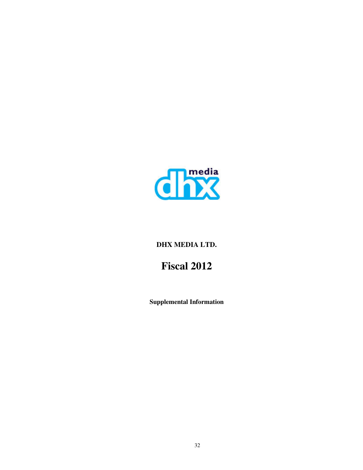

# **DHX MEDIA LTD.**

# **Fiscal 2012**

**Supplemental Information**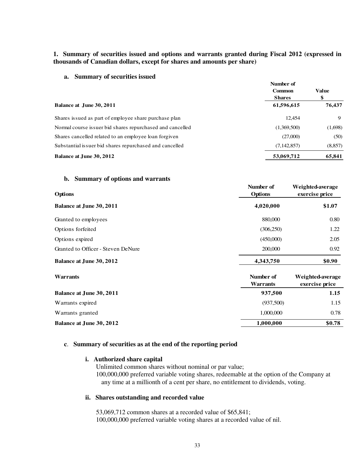**1. Summary of securities issued and options and warrants granted during Fiscal 2012 (expressed in thousands of Canadian dollars, except for shares and amounts per share)** 

**a. Summary of securities issued** 

|                                                           | Number of     |              |
|-----------------------------------------------------------|---------------|--------------|
|                                                           | <b>Common</b> | <b>Value</b> |
|                                                           | <b>Shares</b> |              |
| Balance at June 30, 2011                                  | 61,596,615    | 76,437       |
| Shares issued as part of employee share purchase plan     | 12.454        | 9            |
| Normal course issuer bid shares repurchased and cancelled | (1,369,500)   | (1,698)      |
| Shares cancelled related to an employee loan forgiven     | (27,000)      | (50)         |
| Substantial issuer bid shares repurchased and cancelled   | (7, 142, 857) | (8, 857)     |
| <b>Balance at June 30, 2012</b>                           | 53,069,712    | 65,841       |

# **b. Summary of options and warrants**

| <b>Options</b>                     | Number of<br><b>Options</b>  | Weighted-average<br>exercise price |
|------------------------------------|------------------------------|------------------------------------|
| Balance at June 30, 2011           | 4,020,000                    | \$1.07                             |
| Granted to employees               | 880,000                      | 0.80                               |
| Options forfeited                  | (306, 250)                   | 1.22                               |
| Options expired                    | (450,000)                    | 2.05                               |
| Granted to Officer - Steven DeNure | 200,000                      | 0.92                               |
| Balance at June 30, 2012           | 4,343,750                    | \$0.90                             |
| <b>Warrants</b>                    | Number of<br><b>Warrants</b> | Weighted-average<br>exercise price |
| Balance at June 30, 2011           | 937,500                      | 1.15                               |
| Warrants expired                   | (937,500)                    | 1.15                               |
| Warrants granted                   | 1,000,000                    | 0.78                               |
| <b>Balance at June 30, 2012</b>    | 1,000,000                    | \$0.78                             |

# **c**. **Summary of securities as at the end of the reporting period**

# **i. Authorized share capital**

Unlimited common shares without nominal or par value; 100,000,000 preferred variable voting shares, redeemable at the option of the Company at any time at a millionth of a cent per share, no entitlement to dividends, voting.

# **ii. Shares outstanding and recorded value**

53,069,712 common shares at a recorded value of \$65,841; 100,000,000 preferred variable voting shares at a recorded value of nil.